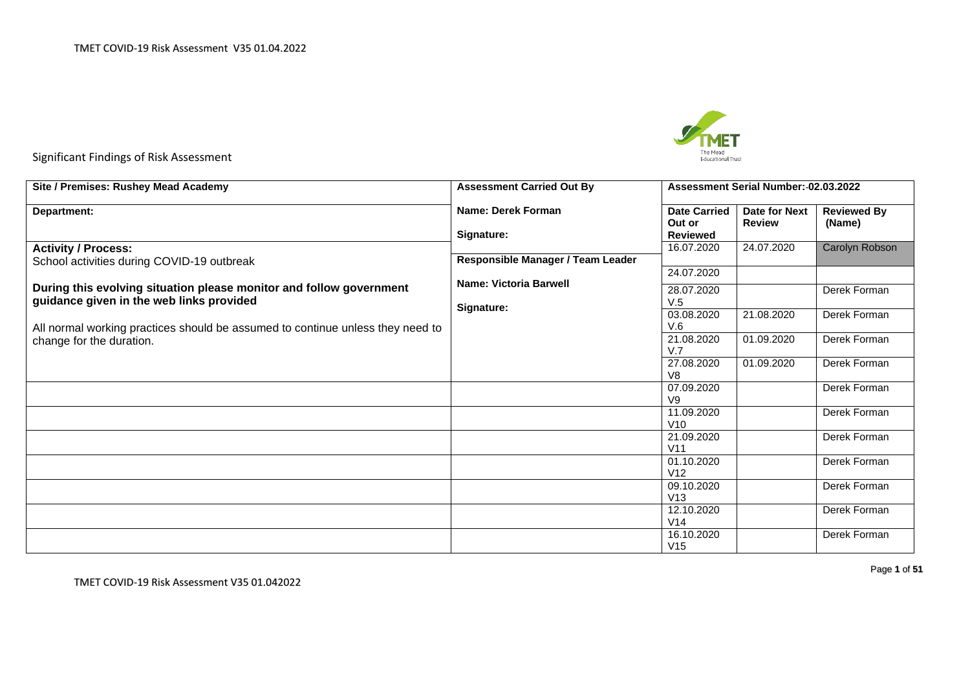

Significant Findings of Risk Assessment

| Site / Premises: Rushey Mead Academy                                           | <b>Assessment Carried Out By</b>  |                               | Assessment Serial Number: 02.03.2022 |                              |
|--------------------------------------------------------------------------------|-----------------------------------|-------------------------------|--------------------------------------|------------------------------|
| <b>Department:</b>                                                             | Name: Derek Forman                | <b>Date Carried</b><br>Out or | Date for Next<br><b>Review</b>       | <b>Reviewed By</b><br>(Name) |
|                                                                                | Signature:                        | <b>Reviewed</b>               |                                      |                              |
| <b>Activity / Process:</b><br>School activities during COVID-19 outbreak       | Responsible Manager / Team Leader | 16.07.2020                    | 24.07.2020                           | Carolyn Robson               |
|                                                                                |                                   | 24.07.2020                    |                                      |                              |
| During this evolving situation please monitor and follow government            | <b>Name: Victoria Barwell</b>     | 28.07.2020                    |                                      | Derek Forman                 |
| guidance given in the web links provided                                       | Signature:                        | V.5                           |                                      |                              |
|                                                                                |                                   | 03.08.2020                    | 21.08.2020                           | Derek Forman                 |
| All normal working practices should be assumed to continue unless they need to |                                   | V.6<br>21.08.2020             | 01.09.2020                           | Derek Forman                 |
| change for the duration.                                                       |                                   | V.7                           |                                      |                              |
|                                                                                |                                   | 27.08.2020                    | 01.09.2020                           | Derek Forman                 |
|                                                                                |                                   | V8                            |                                      |                              |
|                                                                                |                                   | 07.09.2020<br>V9              |                                      | Derek Forman                 |
|                                                                                |                                   | 11.09.2020                    |                                      | Derek Forman                 |
|                                                                                |                                   | V10                           |                                      |                              |
|                                                                                |                                   | 21.09.2020                    |                                      | Derek Forman                 |
|                                                                                |                                   | V <sub>11</sub><br>01.10.2020 |                                      | Derek Forman                 |
|                                                                                |                                   | V12                           |                                      |                              |
|                                                                                |                                   | 09.10.2020                    |                                      | Derek Forman                 |
|                                                                                |                                   | V13                           |                                      |                              |
|                                                                                |                                   | 12.10.2020<br>V <sub>14</sub> |                                      | Derek Forman                 |
|                                                                                |                                   | 16.10.2020                    |                                      | Derek Forman                 |
|                                                                                |                                   | V15                           |                                      |                              |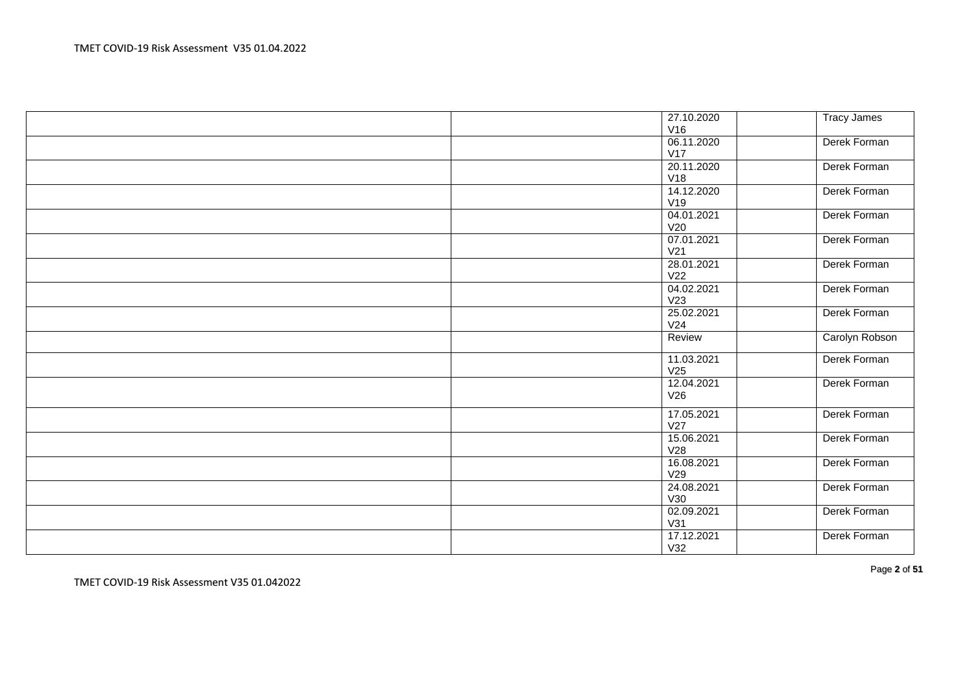| 27.10.2020        | <b>Tracy James</b> |
|-------------------|--------------------|
| V16               |                    |
| 06.11.2020        | Derek Forman       |
| V17               |                    |
| 20.11.2020        | Derek Forman       |
| V18               |                    |
| 14.12.2020        | Derek Forman       |
| V19               |                    |
| 04.01.2021        | Derek Forman       |
| V20               |                    |
| 07.01.2021        | Derek Forman       |
| V <sub>21</sub>   |                    |
| 28.01.2021        | Derek Forman       |
| V <sub>22</sub>   |                    |
| 04.02.2021        | Derek Forman       |
| V23               |                    |
| 25.02.2021        | Derek Forman       |
| V24               |                    |
|                   |                    |
| Review            | Carolyn Robson     |
|                   |                    |
| 11.03.2021        | Derek Forman       |
| V25               |                    |
| 12.04.2021<br>V26 | Derek Forman       |
|                   |                    |
| 17.05.2021        | Derek Forman       |
| V27               |                    |
| 15.06.2021        | Derek Forman       |
| V28               |                    |
| 16.08.2021        | Derek Forman       |
| V29               |                    |
| 24.08.2021        | Derek Forman       |
| V30               |                    |
| 02.09.2021        | Derek Forman       |
| V31               |                    |
| 17.12.2021<br>V32 | Derek Forman       |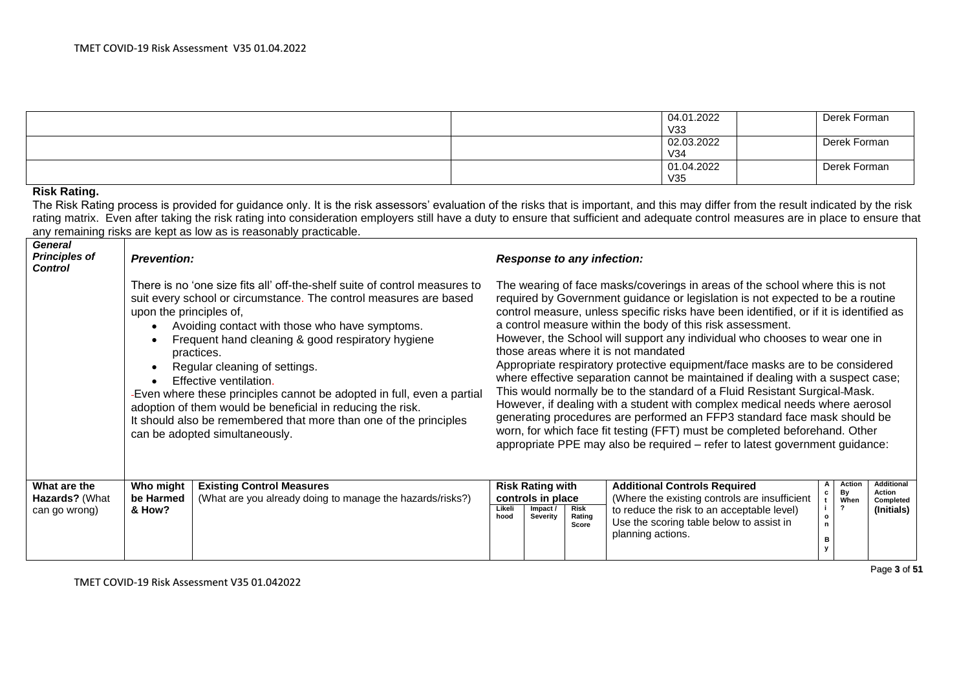| 04.01.2022 | Derek Forman |
|------------|--------------|
| V33        |              |
| 02.03.2022 | Derek Forman |
| V34        |              |
| 01.04.2022 | Derek Forman |
| V35        |              |

#### **Risk Rating.**

The Risk Rating process is provided for guidance only. It is the risk assessors' evaluation of the risks that is important, and this may differ from the result indicated by the risk rating matrix. Even after taking the risk rating into consideration employers still have a duty to ensure that sufficient and adequate control measures are in place to ensure that any remaining risks are kept as low as is reasonably practicable.

| <b>General</b><br><b>Principles of</b><br><b>Control</b> | <b>Prevention:</b>                                                                                                                                                                                                                                                                                                                                                                                                                                                                                                                                                                                        |                                                                                               |                                                                                                                                                                                                                                                                                                                                                                                                                                                                                                                                                                                                                                                                                                                                                                                                                                                                                                                                                                                                                       | <b>Response to any infection:</b>                                    |                                |                                                                                                                                                                                                                                                                                                        |  |  |  |  |  |  |
|----------------------------------------------------------|-----------------------------------------------------------------------------------------------------------------------------------------------------------------------------------------------------------------------------------------------------------------------------------------------------------------------------------------------------------------------------------------------------------------------------------------------------------------------------------------------------------------------------------------------------------------------------------------------------------|-----------------------------------------------------------------------------------------------|-----------------------------------------------------------------------------------------------------------------------------------------------------------------------------------------------------------------------------------------------------------------------------------------------------------------------------------------------------------------------------------------------------------------------------------------------------------------------------------------------------------------------------------------------------------------------------------------------------------------------------------------------------------------------------------------------------------------------------------------------------------------------------------------------------------------------------------------------------------------------------------------------------------------------------------------------------------------------------------------------------------------------|----------------------------------------------------------------------|--------------------------------|--------------------------------------------------------------------------------------------------------------------------------------------------------------------------------------------------------------------------------------------------------------------------------------------------------|--|--|--|--|--|--|
|                                                          | There is no 'one size fits all' off-the-shelf suite of control measures to<br>suit every school or circumstance. The control measures are based<br>upon the principles of,<br>Avoiding contact with those who have symptoms.<br>Frequent hand cleaning & good respiratory hygiene<br>practices.<br>Regular cleaning of settings.<br>Effective ventilation.<br>-Even where these principles cannot be adopted in full, even a partial<br>adoption of them would be beneficial in reducing the risk.<br>It should also be remembered that more than one of the principles<br>can be adopted simultaneously. |                                                                                               | The wearing of face masks/coverings in areas of the school where this is not<br>required by Government guidance or legislation is not expected to be a routine<br>control measure, unless specific risks have been identified, or if it is identified as<br>a control measure within the body of this risk assessment.<br>However, the School will support any individual who chooses to wear one in<br>those areas where it is not mandated<br>Appropriate respiratory protective equipment/face masks are to be considered<br>where effective separation cannot be maintained if dealing with a suspect case;<br>This would normally be to the standard of a Fluid Resistant Surgical-Mask.<br>However, if dealing with a student with complex medical needs where aerosol<br>generating procedures are performed an FFP3 standard face mask should be<br>worn, for which face fit testing (FFT) must be completed beforehand. Other<br>appropriate PPE may also be required - refer to latest government guidance: |                                                                      |                                |                                                                                                                                                                                                                                                                                                        |  |  |  |  |  |  |
| What are the<br><b>Hazards?</b> (What<br>can go wrong)   | Who might<br>be Harmed<br>& How?                                                                                                                                                                                                                                                                                                                                                                                                                                                                                                                                                                          | <b>Existing Control Measures</b><br>(What are you already doing to manage the hazards/risks?) | Likeli<br>hood                                                                                                                                                                                                                                                                                                                                                                                                                                                                                                                                                                                                                                                                                                                                                                                                                                                                                                                                                                                                        | <b>Risk Rating with</b><br>controls in place<br>Impact /<br>Severity | <b>Risk</b><br>Rating<br>Score | <b>Additional</b><br>Action<br><b>Additional Controls Required</b><br>By<br>Action<br>(Where the existing controls are insufficient<br>When<br>Completed<br>to reduce the risk to an acceptable level)<br>(Initials)<br>$\circ$<br>Use the scoring table below to assist in<br>n.<br>planning actions. |  |  |  |  |  |  |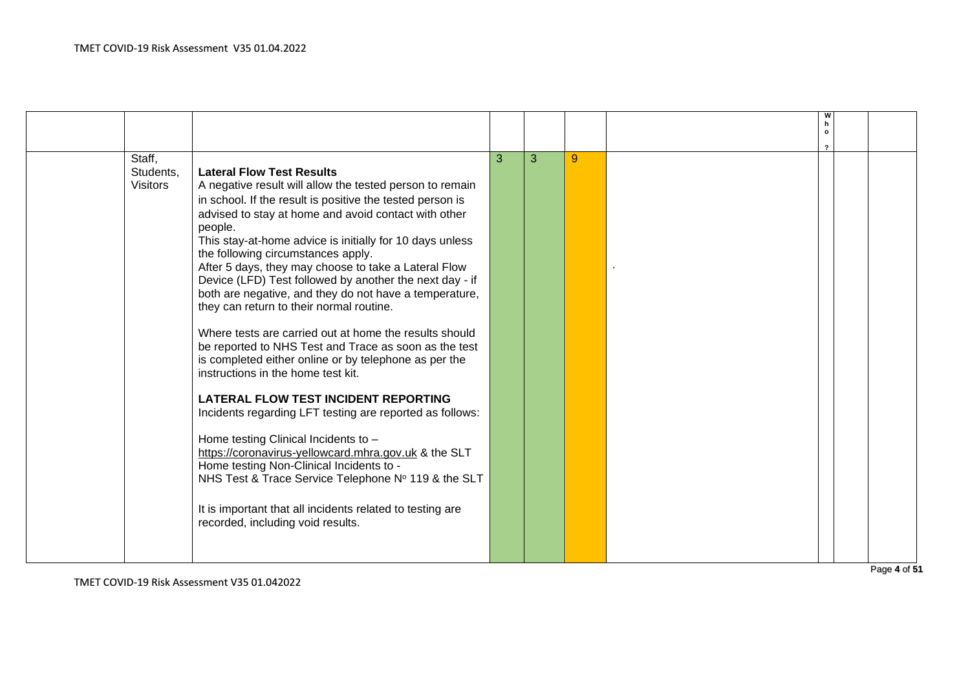| Staff,          |                                                           | 3 | 3 | 9 |  |  |
|-----------------|-----------------------------------------------------------|---|---|---|--|--|
| Students,       | <b>Lateral Flow Test Results</b>                          |   |   |   |  |  |
| <b>Visitors</b> | A negative result will allow the tested person to remain  |   |   |   |  |  |
|                 | in school. If the result is positive the tested person is |   |   |   |  |  |
|                 | advised to stay at home and avoid contact with other      |   |   |   |  |  |
|                 | people.                                                   |   |   |   |  |  |
|                 | This stay-at-home advice is initially for 10 days unless  |   |   |   |  |  |
|                 | the following circumstances apply.                        |   |   |   |  |  |
|                 | After 5 days, they may choose to take a Lateral Flow      |   |   |   |  |  |
|                 | Device (LFD) Test followed by another the next day - if   |   |   |   |  |  |
|                 | both are negative, and they do not have a temperature,    |   |   |   |  |  |
|                 | they can return to their normal routine.                  |   |   |   |  |  |
|                 | Where tests are carried out at home the results should    |   |   |   |  |  |
|                 | be reported to NHS Test and Trace as soon as the test     |   |   |   |  |  |
|                 | is completed either online or by telephone as per the     |   |   |   |  |  |
|                 | instructions in the home test kit.                        |   |   |   |  |  |
|                 |                                                           |   |   |   |  |  |
|                 | <b>LATERAL FLOW TEST INCIDENT REPORTING</b>               |   |   |   |  |  |
|                 | Incidents regarding LFT testing are reported as follows:  |   |   |   |  |  |
|                 |                                                           |   |   |   |  |  |
|                 | Home testing Clinical Incidents to -                      |   |   |   |  |  |
|                 | https://coronavirus-yellowcard.mhra.gov.uk & the SLT      |   |   |   |  |  |
|                 | Home testing Non-Clinical Incidents to -                  |   |   |   |  |  |
|                 | NHS Test & Trace Service Telephone Nº 119 & the SLT       |   |   |   |  |  |
|                 |                                                           |   |   |   |  |  |
|                 | It is important that all incidents related to testing are |   |   |   |  |  |
|                 | recorded, including void results.                         |   |   |   |  |  |
|                 |                                                           |   |   |   |  |  |
|                 |                                                           |   |   |   |  |  |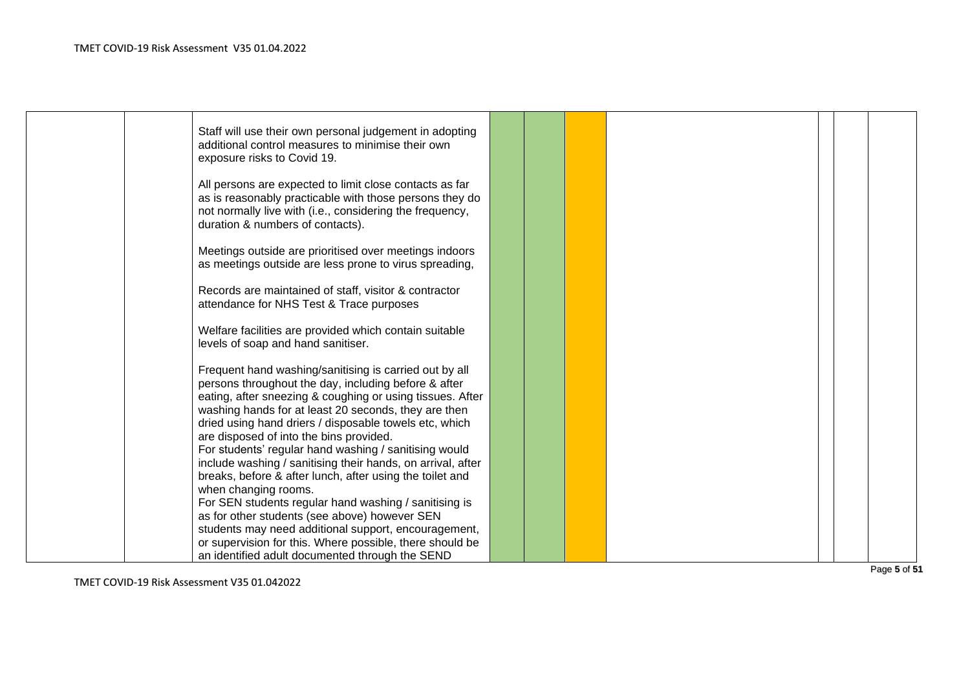|  | Staff will use their own personal judgement in adopting<br>additional control measures to minimise their own<br>exposure risks to Covid 19.                                                                                         |  |  |  |  |
|--|-------------------------------------------------------------------------------------------------------------------------------------------------------------------------------------------------------------------------------------|--|--|--|--|
|  | All persons are expected to limit close contacts as far<br>as is reasonably practicable with those persons they do<br>not normally live with (i.e., considering the frequency,<br>duration & numbers of contacts).                  |  |  |  |  |
|  | Meetings outside are prioritised over meetings indoors<br>as meetings outside are less prone to virus spreading,                                                                                                                    |  |  |  |  |
|  | Records are maintained of staff, visitor & contractor<br>attendance for NHS Test & Trace purposes                                                                                                                                   |  |  |  |  |
|  | Welfare facilities are provided which contain suitable<br>levels of soap and hand sanitiser.                                                                                                                                        |  |  |  |  |
|  | Frequent hand washing/sanitising is carried out by all<br>persons throughout the day, including before & after<br>eating, after sneezing & coughing or using tissues. After<br>washing hands for at least 20 seconds, they are then |  |  |  |  |
|  | dried using hand driers / disposable towels etc, which<br>are disposed of into the bins provided.<br>For students' regular hand washing / sanitising would<br>include washing / sanitising their hands, on arrival, after           |  |  |  |  |
|  | breaks, before & after lunch, after using the toilet and<br>when changing rooms.<br>For SEN students regular hand washing / sanitising is                                                                                           |  |  |  |  |
|  | as for other students (see above) however SEN<br>students may need additional support, encouragement,<br>or supervision for this. Where possible, there should be                                                                   |  |  |  |  |
|  | an identified adult documented through the SEND                                                                                                                                                                                     |  |  |  |  |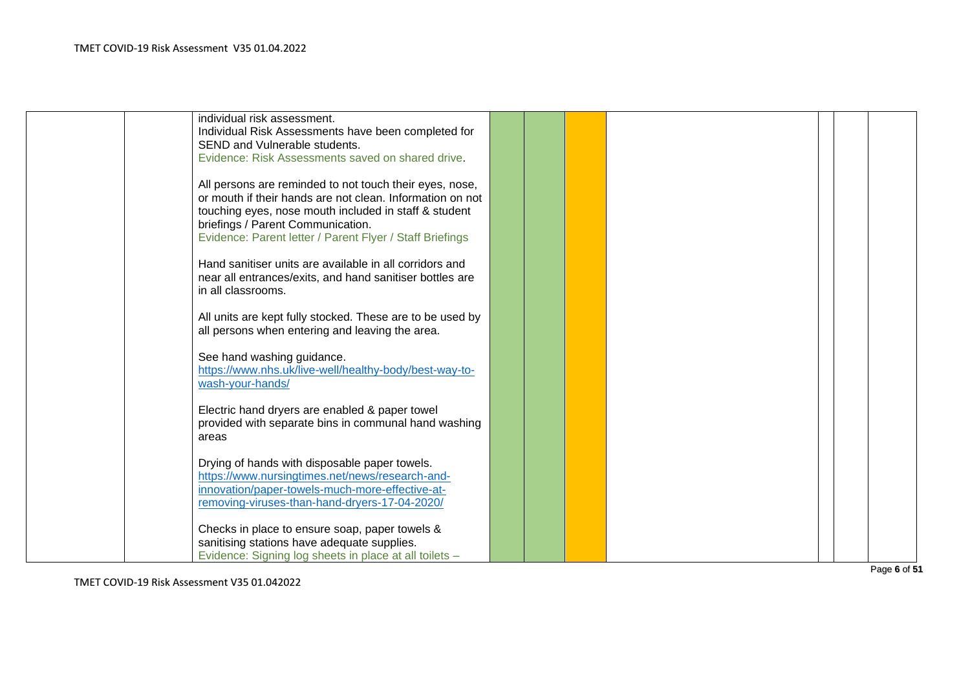| individual risk assessment.                                                                        |  |  |  |  |
|----------------------------------------------------------------------------------------------------|--|--|--|--|
| Individual Risk Assessments have been completed for                                                |  |  |  |  |
| SEND and Vulnerable students.                                                                      |  |  |  |  |
| Evidence: Risk Assessments saved on shared drive.                                                  |  |  |  |  |
|                                                                                                    |  |  |  |  |
| All persons are reminded to not touch their eyes, nose,                                            |  |  |  |  |
| or mouth if their hands are not clean. Information on not                                          |  |  |  |  |
| touching eyes, nose mouth included in staff & student                                              |  |  |  |  |
| briefings / Parent Communication.                                                                  |  |  |  |  |
| Evidence: Parent letter / Parent Flyer / Staff Briefings                                           |  |  |  |  |
|                                                                                                    |  |  |  |  |
| Hand sanitiser units are available in all corridors and                                            |  |  |  |  |
| near all entrances/exits, and hand sanitiser bottles are                                           |  |  |  |  |
| in all classrooms.                                                                                 |  |  |  |  |
|                                                                                                    |  |  |  |  |
| All units are kept fully stocked. These are to be used by                                          |  |  |  |  |
| all persons when entering and leaving the area.                                                    |  |  |  |  |
|                                                                                                    |  |  |  |  |
| See hand washing guidance.                                                                         |  |  |  |  |
| https://www.nhs.uk/live-well/healthy-body/best-way-to-                                             |  |  |  |  |
| wash-your-hands/                                                                                   |  |  |  |  |
|                                                                                                    |  |  |  |  |
| Electric hand dryers are enabled & paper towel                                                     |  |  |  |  |
| provided with separate bins in communal hand washing                                               |  |  |  |  |
|                                                                                                    |  |  |  |  |
| areas                                                                                              |  |  |  |  |
| Drying of hands with disposable paper towels.                                                      |  |  |  |  |
|                                                                                                    |  |  |  |  |
| https://www.nursingtimes.net/news/research-and-<br>innovation/paper-towels-much-more-effective-at- |  |  |  |  |
|                                                                                                    |  |  |  |  |
| removing-viruses-than-hand-dryers-17-04-2020/                                                      |  |  |  |  |
|                                                                                                    |  |  |  |  |
| Checks in place to ensure soap, paper towels &                                                     |  |  |  |  |
| sanitising stations have adequate supplies.                                                        |  |  |  |  |
| Evidence: Signing log sheets in place at all toilets -                                             |  |  |  |  |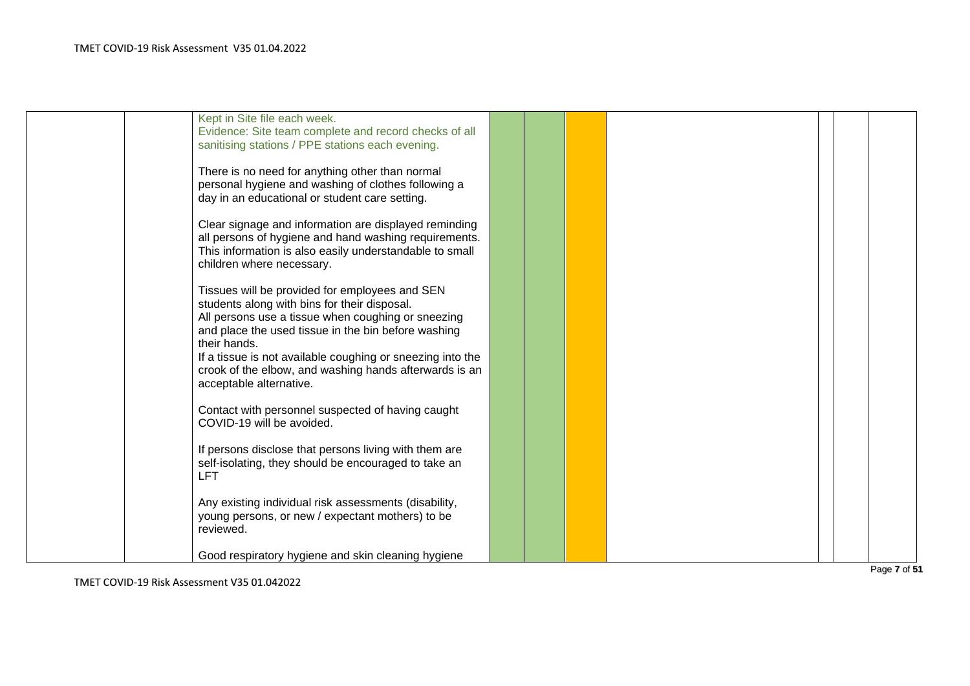| Kept in Site file each week.                               |  |  |  |  |
|------------------------------------------------------------|--|--|--|--|
| Evidence: Site team complete and record checks of all      |  |  |  |  |
|                                                            |  |  |  |  |
| sanitising stations / PPE stations each evening.           |  |  |  |  |
|                                                            |  |  |  |  |
| There is no need for anything other than normal            |  |  |  |  |
| personal hygiene and washing of clothes following a        |  |  |  |  |
| day in an educational or student care setting.             |  |  |  |  |
|                                                            |  |  |  |  |
| Clear signage and information are displayed reminding      |  |  |  |  |
| all persons of hygiene and hand washing requirements.      |  |  |  |  |
|                                                            |  |  |  |  |
| This information is also easily understandable to small    |  |  |  |  |
| children where necessary.                                  |  |  |  |  |
|                                                            |  |  |  |  |
| Tissues will be provided for employees and SEN             |  |  |  |  |
| students along with bins for their disposal.               |  |  |  |  |
| All persons use a tissue when coughing or sneezing         |  |  |  |  |
| and place the used tissue in the bin before washing        |  |  |  |  |
| their hands.                                               |  |  |  |  |
| If a tissue is not available coughing or sneezing into the |  |  |  |  |
|                                                            |  |  |  |  |
| crook of the elbow, and washing hands afterwards is an     |  |  |  |  |
| acceptable alternative.                                    |  |  |  |  |
|                                                            |  |  |  |  |
| Contact with personnel suspected of having caught          |  |  |  |  |
| COVID-19 will be avoided.                                  |  |  |  |  |
|                                                            |  |  |  |  |
| If persons disclose that persons living with them are      |  |  |  |  |
| self-isolating, they should be encouraged to take an       |  |  |  |  |
| <b>LFT</b>                                                 |  |  |  |  |
|                                                            |  |  |  |  |
|                                                            |  |  |  |  |
| Any existing individual risk assessments (disability,      |  |  |  |  |
| young persons, or new / expectant mothers) to be           |  |  |  |  |
| reviewed.                                                  |  |  |  |  |
|                                                            |  |  |  |  |
| Good respiratory hygiene and skin cleaning hygiene         |  |  |  |  |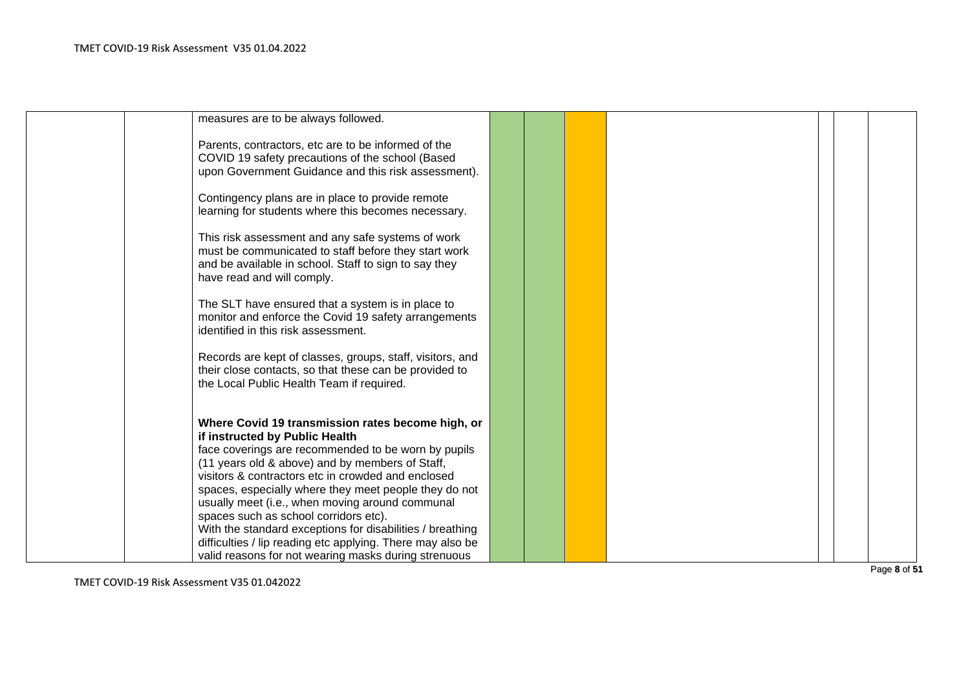| measures are to be always followed.                                                                                     |  |  |  |  |
|-------------------------------------------------------------------------------------------------------------------------|--|--|--|--|
| Parents, contractors, etc are to be informed of the                                                                     |  |  |  |  |
| COVID 19 safety precautions of the school (Based                                                                        |  |  |  |  |
| upon Government Guidance and this risk assessment).                                                                     |  |  |  |  |
| Contingency plans are in place to provide remote                                                                        |  |  |  |  |
| learning for students where this becomes necessary.                                                                     |  |  |  |  |
| This risk assessment and any safe systems of work                                                                       |  |  |  |  |
| must be communicated to staff before they start work                                                                    |  |  |  |  |
| and be available in school. Staff to sign to say they                                                                   |  |  |  |  |
| have read and will comply.                                                                                              |  |  |  |  |
| The SLT have ensured that a system is in place to                                                                       |  |  |  |  |
| monitor and enforce the Covid 19 safety arrangements                                                                    |  |  |  |  |
| identified in this risk assessment.                                                                                     |  |  |  |  |
| Records are kept of classes, groups, staff, visitors, and                                                               |  |  |  |  |
| their close contacts, so that these can be provided to                                                                  |  |  |  |  |
| the Local Public Health Team if required.                                                                               |  |  |  |  |
|                                                                                                                         |  |  |  |  |
| Where Covid 19 transmission rates become high, or                                                                       |  |  |  |  |
| if instructed by Public Health<br>face coverings are recommended to be worn by pupils                                   |  |  |  |  |
| (11 years old & above) and by members of Staff,                                                                         |  |  |  |  |
| visitors & contractors etc in crowded and enclosed                                                                      |  |  |  |  |
| spaces, especially where they meet people they do not                                                                   |  |  |  |  |
| usually meet (i.e., when moving around communal                                                                         |  |  |  |  |
| spaces such as school corridors etc).                                                                                   |  |  |  |  |
| With the standard exceptions for disabilities / breathing<br>difficulties / lip reading etc applying. There may also be |  |  |  |  |
| valid reasons for not wearing masks during strenuous                                                                    |  |  |  |  |
|                                                                                                                         |  |  |  |  |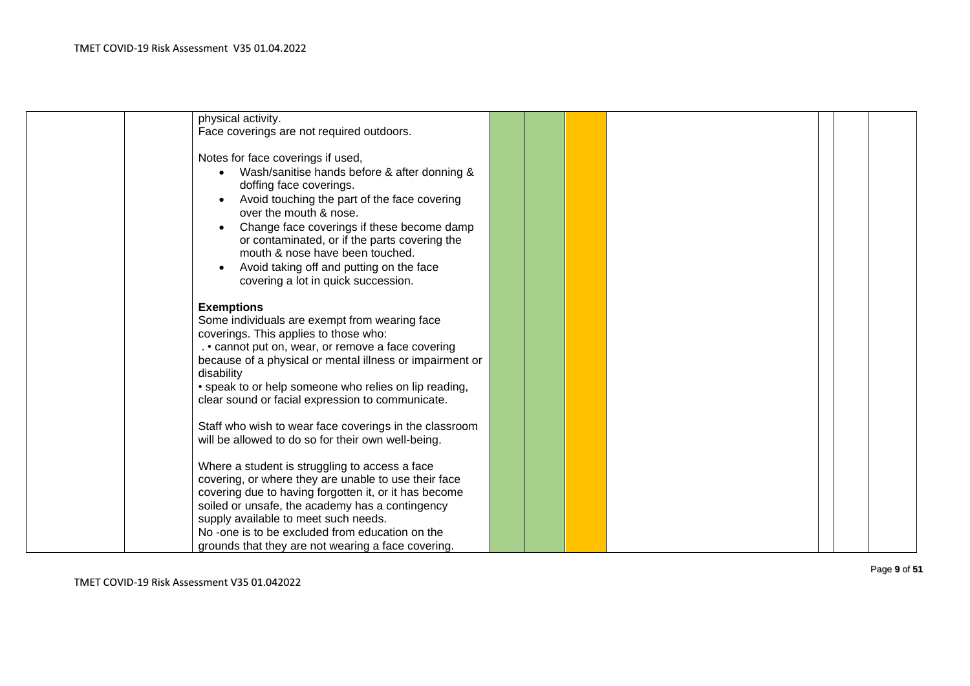| physical activity.                                                                                           |  |  |  |  |
|--------------------------------------------------------------------------------------------------------------|--|--|--|--|
| Face coverings are not required outdoors.                                                                    |  |  |  |  |
|                                                                                                              |  |  |  |  |
| Notes for face coverings if used,                                                                            |  |  |  |  |
| Wash/sanitise hands before & after donning &                                                                 |  |  |  |  |
| doffing face coverings.                                                                                      |  |  |  |  |
| Avoid touching the part of the face covering                                                                 |  |  |  |  |
| over the mouth & nose.                                                                                       |  |  |  |  |
| Change face coverings if these become damp                                                                   |  |  |  |  |
| or contaminated, or if the parts covering the<br>mouth & nose have been touched.                             |  |  |  |  |
|                                                                                                              |  |  |  |  |
| Avoid taking off and putting on the face<br>covering a lot in quick succession.                              |  |  |  |  |
|                                                                                                              |  |  |  |  |
| <b>Exemptions</b>                                                                                            |  |  |  |  |
| Some individuals are exempt from wearing face                                                                |  |  |  |  |
| coverings. This applies to those who:                                                                        |  |  |  |  |
| . • cannot put on, wear, or remove a face covering                                                           |  |  |  |  |
| because of a physical or mental illness or impairment or                                                     |  |  |  |  |
| disability                                                                                                   |  |  |  |  |
| • speak to or help someone who relies on lip reading,                                                        |  |  |  |  |
| clear sound or facial expression to communicate.                                                             |  |  |  |  |
|                                                                                                              |  |  |  |  |
| Staff who wish to wear face coverings in the classroom<br>will be allowed to do so for their own well-being. |  |  |  |  |
|                                                                                                              |  |  |  |  |
| Where a student is struggling to access a face                                                               |  |  |  |  |
| covering, or where they are unable to use their face                                                         |  |  |  |  |
| covering due to having forgotten it, or it has become                                                        |  |  |  |  |
| soiled or unsafe, the academy has a contingency                                                              |  |  |  |  |
| supply available to meet such needs.                                                                         |  |  |  |  |
| No -one is to be excluded from education on the                                                              |  |  |  |  |
| grounds that they are not wearing a face covering.                                                           |  |  |  |  |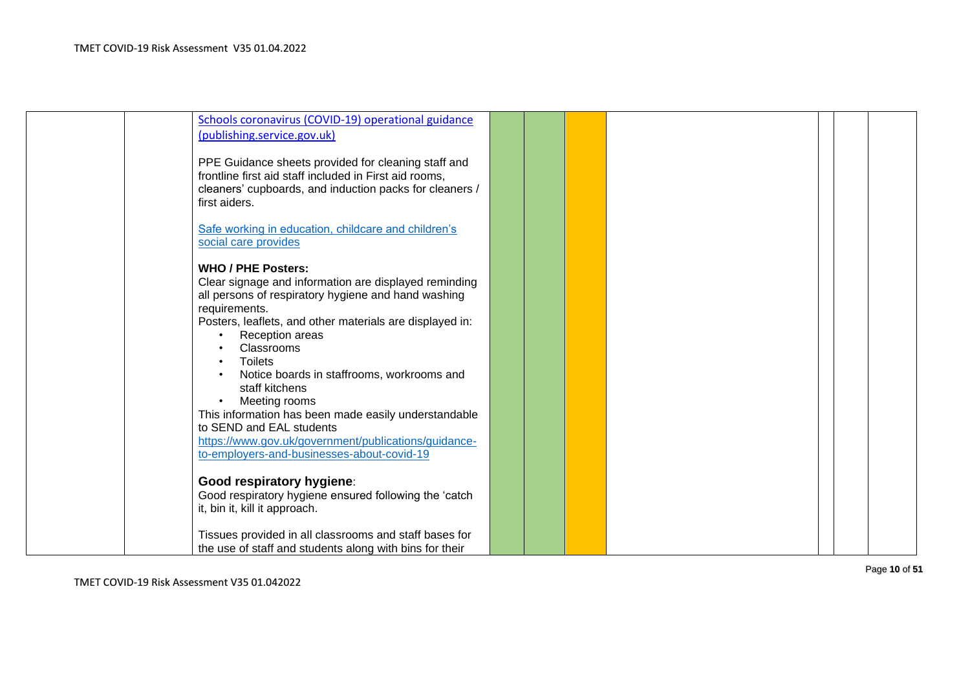| Schools coronavirus (COVID-19) operational guidance                                                               |  |  |  |  |
|-------------------------------------------------------------------------------------------------------------------|--|--|--|--|
| (publishing.service.gov.uk)                                                                                       |  |  |  |  |
|                                                                                                                   |  |  |  |  |
| PPE Guidance sheets provided for cleaning staff and                                                               |  |  |  |  |
| frontline first aid staff included in First aid rooms,<br>cleaners' cupboards, and induction packs for cleaners / |  |  |  |  |
| first aiders.                                                                                                     |  |  |  |  |
|                                                                                                                   |  |  |  |  |
| Safe working in education, childcare and children's                                                               |  |  |  |  |
| social care provides                                                                                              |  |  |  |  |
|                                                                                                                   |  |  |  |  |
| <b>WHO / PHE Posters:</b>                                                                                         |  |  |  |  |
| Clear signage and information are displayed reminding                                                             |  |  |  |  |
| all persons of respiratory hygiene and hand washing                                                               |  |  |  |  |
| requirements.                                                                                                     |  |  |  |  |
| Posters, leaflets, and other materials are displayed in:<br>Reception areas                                       |  |  |  |  |
| Classrooms                                                                                                        |  |  |  |  |
| <b>Toilets</b>                                                                                                    |  |  |  |  |
| Notice boards in staffrooms, workrooms and                                                                        |  |  |  |  |
| staff kitchens                                                                                                    |  |  |  |  |
| Meeting rooms<br>$\bullet$                                                                                        |  |  |  |  |
| This information has been made easily understandable                                                              |  |  |  |  |
| to SEND and EAL students                                                                                          |  |  |  |  |
| https://www.gov.uk/government/publications/guidance-                                                              |  |  |  |  |
| to-employers-and-businesses-about-covid-19                                                                        |  |  |  |  |
| Good respiratory hygiene:                                                                                         |  |  |  |  |
| Good respiratory hygiene ensured following the 'catch                                                             |  |  |  |  |
| it, bin it, kill it approach.                                                                                     |  |  |  |  |
|                                                                                                                   |  |  |  |  |
| Tissues provided in all classrooms and staff bases for                                                            |  |  |  |  |
| the use of staff and students along with bins for their                                                           |  |  |  |  |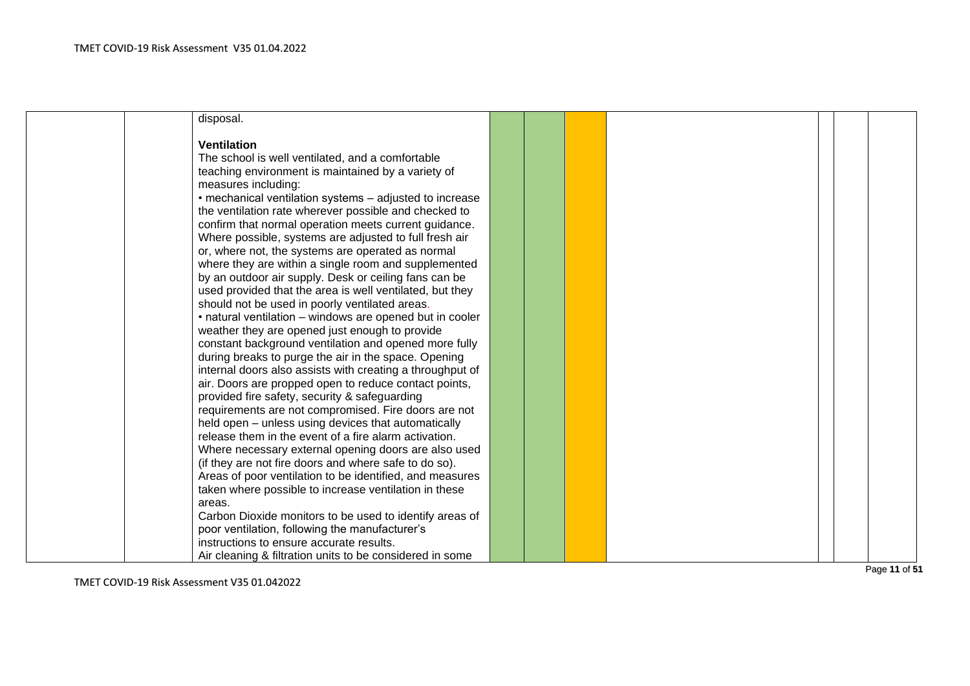|  | disposal.                                                 |  |  |  |  |
|--|-----------------------------------------------------------|--|--|--|--|
|  |                                                           |  |  |  |  |
|  | <b>Ventilation</b>                                        |  |  |  |  |
|  | The school is well ventilated, and a comfortable          |  |  |  |  |
|  | teaching environment is maintained by a variety of        |  |  |  |  |
|  | measures including:                                       |  |  |  |  |
|  | • mechanical ventilation systems – adjusted to increase   |  |  |  |  |
|  | the ventilation rate wherever possible and checked to     |  |  |  |  |
|  | confirm that normal operation meets current guidance.     |  |  |  |  |
|  | Where possible, systems are adjusted to full fresh air    |  |  |  |  |
|  | or, where not, the systems are operated as normal         |  |  |  |  |
|  | where they are within a single room and supplemented      |  |  |  |  |
|  | by an outdoor air supply. Desk or ceiling fans can be     |  |  |  |  |
|  | used provided that the area is well ventilated, but they  |  |  |  |  |
|  | should not be used in poorly ventilated areas.            |  |  |  |  |
|  | • natural ventilation - windows are opened but in cooler  |  |  |  |  |
|  | weather they are opened just enough to provide            |  |  |  |  |
|  | constant background ventilation and opened more fully     |  |  |  |  |
|  | during breaks to purge the air in the space. Opening      |  |  |  |  |
|  | internal doors also assists with creating a throughput of |  |  |  |  |
|  | air. Doors are propped open to reduce contact points,     |  |  |  |  |
|  | provided fire safety, security & safeguarding             |  |  |  |  |
|  | requirements are not compromised. Fire doors are not      |  |  |  |  |
|  | held open - unless using devices that automatically       |  |  |  |  |
|  | release them in the event of a fire alarm activation.     |  |  |  |  |
|  | Where necessary external opening doors are also used      |  |  |  |  |
|  | (if they are not fire doors and where safe to do so).     |  |  |  |  |
|  | Areas of poor ventilation to be identified, and measures  |  |  |  |  |
|  | taken where possible to increase ventilation in these     |  |  |  |  |
|  | areas.                                                    |  |  |  |  |
|  | Carbon Dioxide monitors to be used to identify areas of   |  |  |  |  |
|  | poor ventilation, following the manufacturer's            |  |  |  |  |
|  | instructions to ensure accurate results.                  |  |  |  |  |
|  | Air cleaning & filtration units to be considered in some  |  |  |  |  |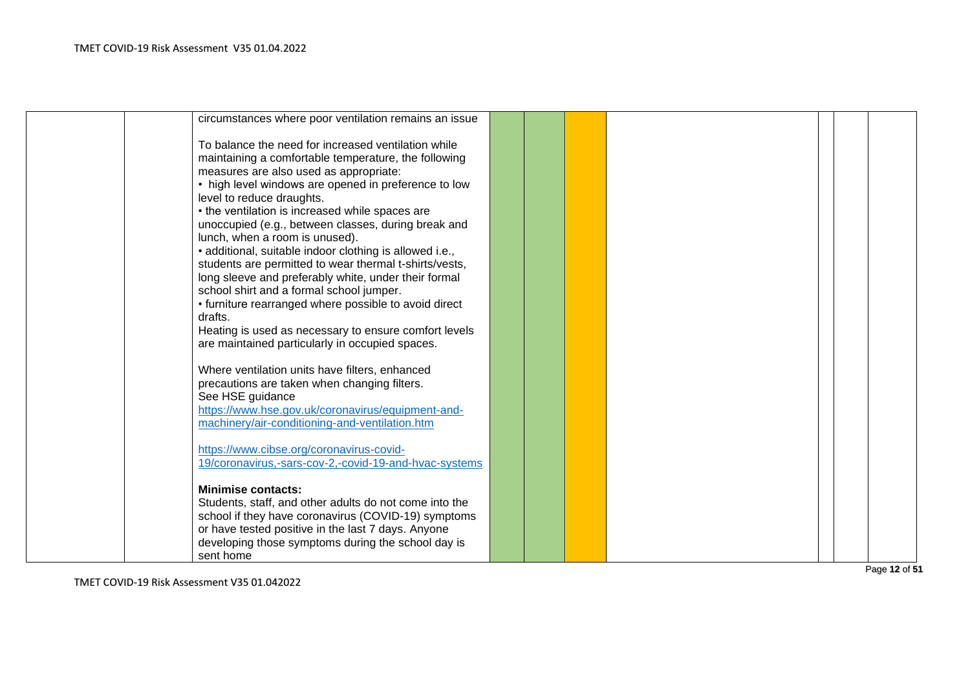| circumstances where poor ventilation remains an issue                                                                                                                                                                                                                                                                                                                                                                                                                                                                                                                                                                                                                                                                                        |  |  |  |  |
|----------------------------------------------------------------------------------------------------------------------------------------------------------------------------------------------------------------------------------------------------------------------------------------------------------------------------------------------------------------------------------------------------------------------------------------------------------------------------------------------------------------------------------------------------------------------------------------------------------------------------------------------------------------------------------------------------------------------------------------------|--|--|--|--|
| To balance the need for increased ventilation while<br>maintaining a comfortable temperature, the following<br>measures are also used as appropriate:<br>• high level windows are opened in preference to low<br>level to reduce draughts.<br>• the ventilation is increased while spaces are<br>unoccupied (e.g., between classes, during break and<br>lunch, when a room is unused).<br>• additional, suitable indoor clothing is allowed i.e.,<br>students are permitted to wear thermal t-shirts/vests,<br>long sleeve and preferably white, under their formal<br>school shirt and a formal school jumper.<br>• furniture rearranged where possible to avoid direct<br>drafts.<br>Heating is used as necessary to ensure comfort levels |  |  |  |  |
| are maintained particularly in occupied spaces.<br>Where ventilation units have filters, enhanced<br>precautions are taken when changing filters.<br>See HSE guidance<br>https://www.hse.gov.uk/coronavirus/equipment-and-<br>machinery/air-conditioning-and-ventilation.htm<br>https://www.cibse.org/coronavirus-covid-<br>19/coronavirus,-sars-cov-2,-covid-19-and-hvac-systems<br><b>Minimise contacts:</b><br>Students, staff, and other adults do not come into the<br>school if they have coronavirus (COVID-19) symptoms<br>or have tested positive in the last 7 days. Anyone<br>developing those symptoms during the school day is<br>sent home                                                                                     |  |  |  |  |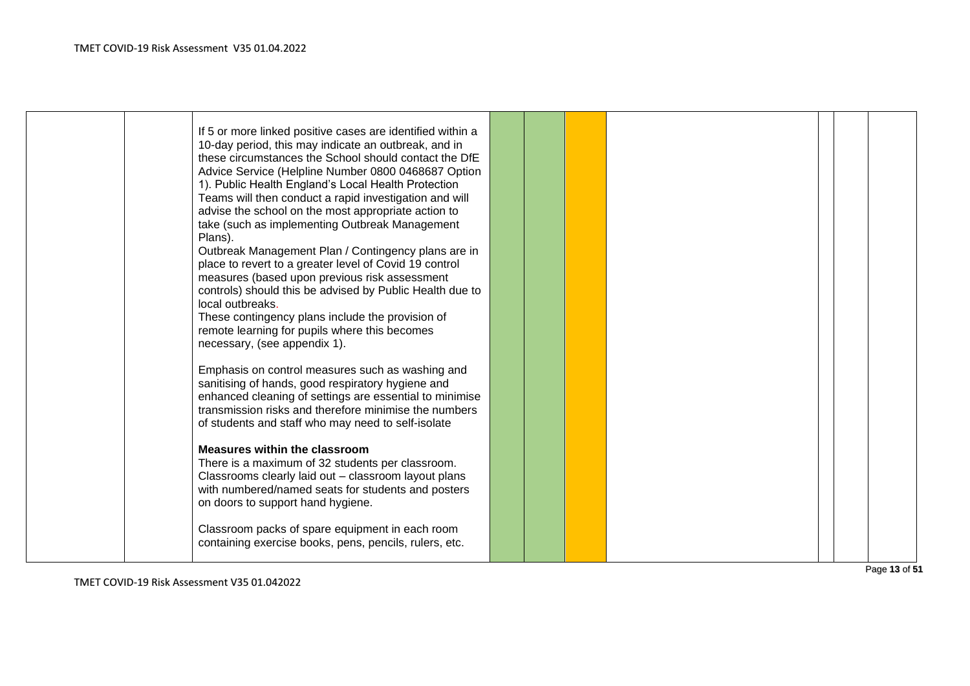| If 5 or more linked positive cases are identified within a<br>10-day period, this may indicate an outbreak, and in<br>these circumstances the School should contact the DfE<br>Advice Service (Helpline Number 0800 0468687 Option<br>1). Public Health England's Local Health Protection<br>Teams will then conduct a rapid investigation and will<br>advise the school on the most appropriate action to<br>take (such as implementing Outbreak Management<br>Plans).<br>Outbreak Management Plan / Contingency plans are in<br>place to revert to a greater level of Covid 19 control<br>measures (based upon previous risk assessment<br>controls) should this be advised by Public Health due to<br>local outbreaks.<br>These contingency plans include the provision of<br>remote learning for pupils where this becomes<br>necessary, (see appendix 1). |  |  |  |  |
|----------------------------------------------------------------------------------------------------------------------------------------------------------------------------------------------------------------------------------------------------------------------------------------------------------------------------------------------------------------------------------------------------------------------------------------------------------------------------------------------------------------------------------------------------------------------------------------------------------------------------------------------------------------------------------------------------------------------------------------------------------------------------------------------------------------------------------------------------------------|--|--|--|--|
| Emphasis on control measures such as washing and<br>sanitising of hands, good respiratory hygiene and<br>enhanced cleaning of settings are essential to minimise<br>transmission risks and therefore minimise the numbers<br>of students and staff who may need to self-isolate                                                                                                                                                                                                                                                                                                                                                                                                                                                                                                                                                                                |  |  |  |  |
| Measures within the classroom<br>There is a maximum of 32 students per classroom.<br>Classrooms clearly laid out - classroom layout plans<br>with numbered/named seats for students and posters<br>on doors to support hand hygiene.<br>Classroom packs of spare equipment in each room<br>containing exercise books, pens, pencils, rulers, etc.                                                                                                                                                                                                                                                                                                                                                                                                                                                                                                              |  |  |  |  |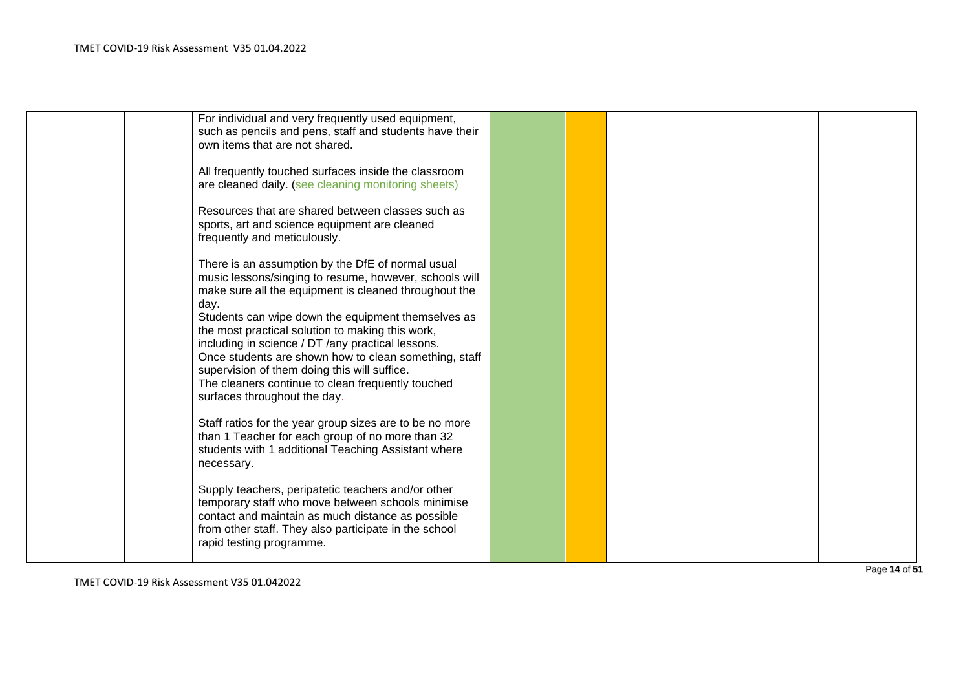| For individual and very frequently used equipment,<br>such as pencils and pens, staff and students have their<br>own items that are not shared.                                                                                                                                                                                                           |  |  |  |  |
|-----------------------------------------------------------------------------------------------------------------------------------------------------------------------------------------------------------------------------------------------------------------------------------------------------------------------------------------------------------|--|--|--|--|
| All frequently touched surfaces inside the classroom<br>are cleaned daily. (see cleaning monitoring sheets)                                                                                                                                                                                                                                               |  |  |  |  |
| Resources that are shared between classes such as<br>sports, art and science equipment are cleaned<br>frequently and meticulously.                                                                                                                                                                                                                        |  |  |  |  |
| There is an assumption by the DfE of normal usual<br>music lessons/singing to resume, however, schools will<br>make sure all the equipment is cleaned throughout the<br>day.                                                                                                                                                                              |  |  |  |  |
| Students can wipe down the equipment themselves as<br>the most practical solution to making this work,<br>including in science / DT /any practical lessons.<br>Once students are shown how to clean something, staff<br>supervision of them doing this will suffice.<br>The cleaners continue to clean frequently touched<br>surfaces throughout the day. |  |  |  |  |
| Staff ratios for the year group sizes are to be no more<br>than 1 Teacher for each group of no more than 32<br>students with 1 additional Teaching Assistant where<br>necessary.                                                                                                                                                                          |  |  |  |  |
| Supply teachers, peripatetic teachers and/or other<br>temporary staff who move between schools minimise<br>contact and maintain as much distance as possible<br>from other staff. They also participate in the school<br>rapid testing programme.                                                                                                         |  |  |  |  |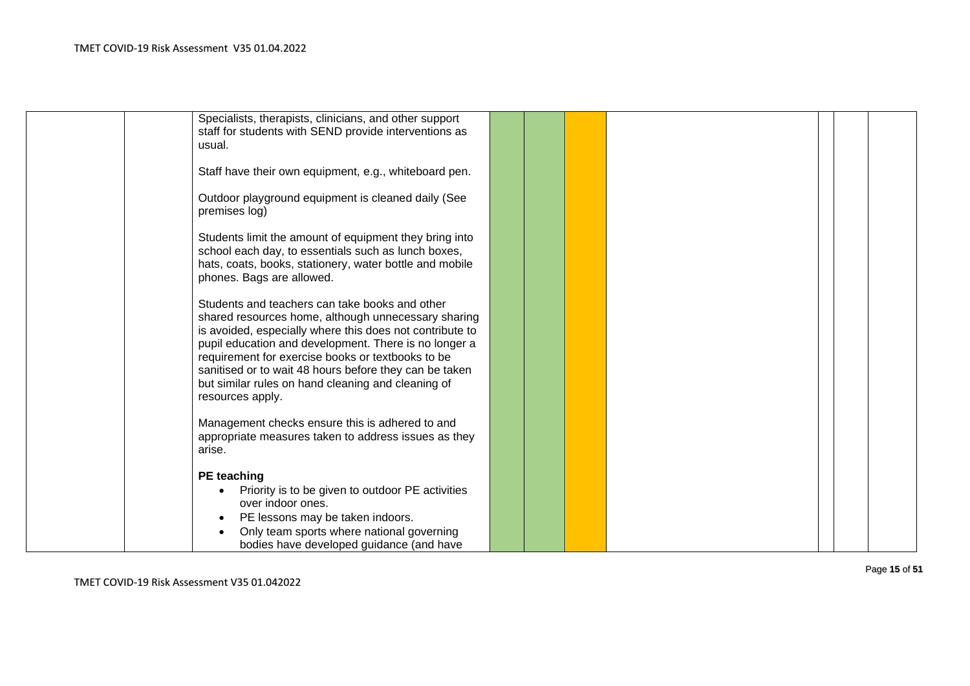| Specialists, therapists, clinicians, and other support<br>staff for students with SEND provide interventions as<br>usual.                                                                                                                                                                                                                                                                                           |  |  |  |  |
|---------------------------------------------------------------------------------------------------------------------------------------------------------------------------------------------------------------------------------------------------------------------------------------------------------------------------------------------------------------------------------------------------------------------|--|--|--|--|
| Staff have their own equipment, e.g., whiteboard pen.                                                                                                                                                                                                                                                                                                                                                               |  |  |  |  |
| Outdoor playground equipment is cleaned daily (See<br>premises log)                                                                                                                                                                                                                                                                                                                                                 |  |  |  |  |
| Students limit the amount of equipment they bring into<br>school each day, to essentials such as lunch boxes,<br>hats, coats, books, stationery, water bottle and mobile<br>phones. Bags are allowed.                                                                                                                                                                                                               |  |  |  |  |
| Students and teachers can take books and other<br>shared resources home, although unnecessary sharing<br>is avoided, especially where this does not contribute to<br>pupil education and development. There is no longer a<br>requirement for exercise books or textbooks to be<br>sanitised or to wait 48 hours before they can be taken<br>but similar rules on hand cleaning and cleaning of<br>resources apply. |  |  |  |  |
| Management checks ensure this is adhered to and<br>appropriate measures taken to address issues as they<br>arise.                                                                                                                                                                                                                                                                                                   |  |  |  |  |
| <b>PE</b> teaching<br>Priority is to be given to outdoor PE activities<br>over indoor ones.<br>PE lessons may be taken indoors.<br>Only team sports where national governing                                                                                                                                                                                                                                        |  |  |  |  |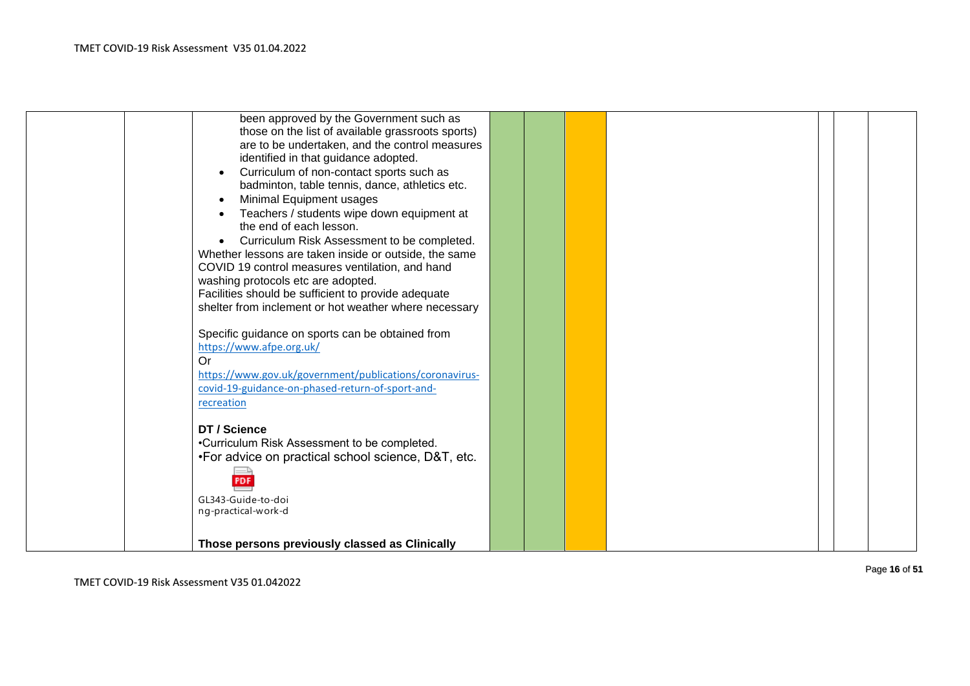|  | been approved by the Government such as                 |  |  |  |
|--|---------------------------------------------------------|--|--|--|
|  | those on the list of available grassroots sports)       |  |  |  |
|  | are to be undertaken, and the control measures          |  |  |  |
|  | identified in that guidance adopted.                    |  |  |  |
|  | Curriculum of non-contact sports such as                |  |  |  |
|  | badminton, table tennis, dance, athletics etc.          |  |  |  |
|  | Minimal Equipment usages                                |  |  |  |
|  | Teachers / students wipe down equipment at              |  |  |  |
|  | the end of each lesson.                                 |  |  |  |
|  | Curriculum Risk Assessment to be completed.             |  |  |  |
|  | Whether lessons are taken inside or outside, the same   |  |  |  |
|  | COVID 19 control measures ventilation, and hand         |  |  |  |
|  | washing protocols etc are adopted.                      |  |  |  |
|  | Facilities should be sufficient to provide adequate     |  |  |  |
|  | shelter from inclement or hot weather where necessary   |  |  |  |
|  |                                                         |  |  |  |
|  | Specific guidance on sports can be obtained from        |  |  |  |
|  | https://www.afpe.org.uk/                                |  |  |  |
|  | Or                                                      |  |  |  |
|  | https://www.gov.uk/government/publications/coronavirus- |  |  |  |
|  | covid-19-guidance-on-phased-return-of-sport-and-        |  |  |  |
|  | recreation                                              |  |  |  |
|  |                                                         |  |  |  |
|  | DT / Science                                            |  |  |  |
|  | •Curriculum Risk Assessment to be completed.            |  |  |  |
|  | •For advice on practical school science, D&T, etc.      |  |  |  |
|  |                                                         |  |  |  |
|  | <b>PDF</b>                                              |  |  |  |
|  |                                                         |  |  |  |
|  | GL343-Guide-to-doi<br>ng-practical-work-d               |  |  |  |
|  |                                                         |  |  |  |
|  |                                                         |  |  |  |
|  | Those persons previously classed as Clinically          |  |  |  |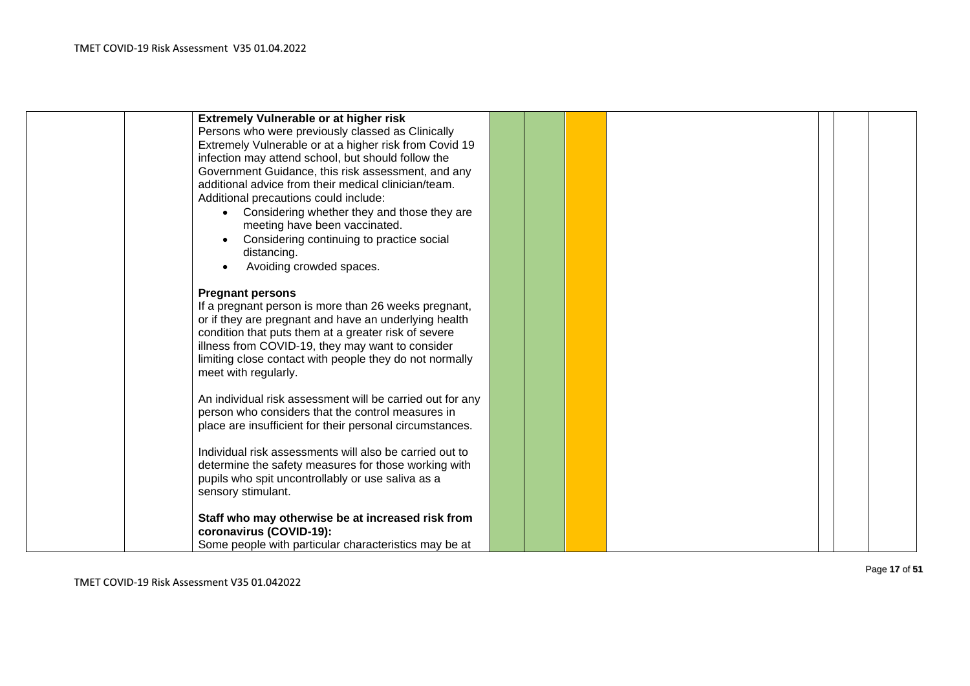| <b>Extremely Vulnerable or at higher risk</b>             |  |  |  |  |
|-----------------------------------------------------------|--|--|--|--|
| Persons who were previously classed as Clinically         |  |  |  |  |
| Extremely Vulnerable or at a higher risk from Covid 19    |  |  |  |  |
| infection may attend school, but should follow the        |  |  |  |  |
| Government Guidance, this risk assessment, and any        |  |  |  |  |
| additional advice from their medical clinician/team.      |  |  |  |  |
| Additional precautions could include:                     |  |  |  |  |
|                                                           |  |  |  |  |
| • Considering whether they and those they are             |  |  |  |  |
| meeting have been vaccinated.                             |  |  |  |  |
| Considering continuing to practice social                 |  |  |  |  |
| distancing.                                               |  |  |  |  |
| Avoiding crowded spaces.                                  |  |  |  |  |
|                                                           |  |  |  |  |
| <b>Pregnant persons</b>                                   |  |  |  |  |
| If a pregnant person is more than 26 weeks pregnant,      |  |  |  |  |
| or if they are pregnant and have an underlying health     |  |  |  |  |
| condition that puts them at a greater risk of severe      |  |  |  |  |
| illness from COVID-19, they may want to consider          |  |  |  |  |
| limiting close contact with people they do not normally   |  |  |  |  |
| meet with regularly.                                      |  |  |  |  |
|                                                           |  |  |  |  |
| An individual risk assessment will be carried out for any |  |  |  |  |
| person who considers that the control measures in         |  |  |  |  |
| place are insufficient for their personal circumstances.  |  |  |  |  |
|                                                           |  |  |  |  |
| Individual risk assessments will also be carried out to   |  |  |  |  |
| determine the safety measures for those working with      |  |  |  |  |
| pupils who spit uncontrollably or use saliva as a         |  |  |  |  |
|                                                           |  |  |  |  |
| sensory stimulant.                                        |  |  |  |  |
|                                                           |  |  |  |  |
| Staff who may otherwise be at increased risk from         |  |  |  |  |
| coronavirus (COVID-19):                                   |  |  |  |  |
| Some people with particular characteristics may be at     |  |  |  |  |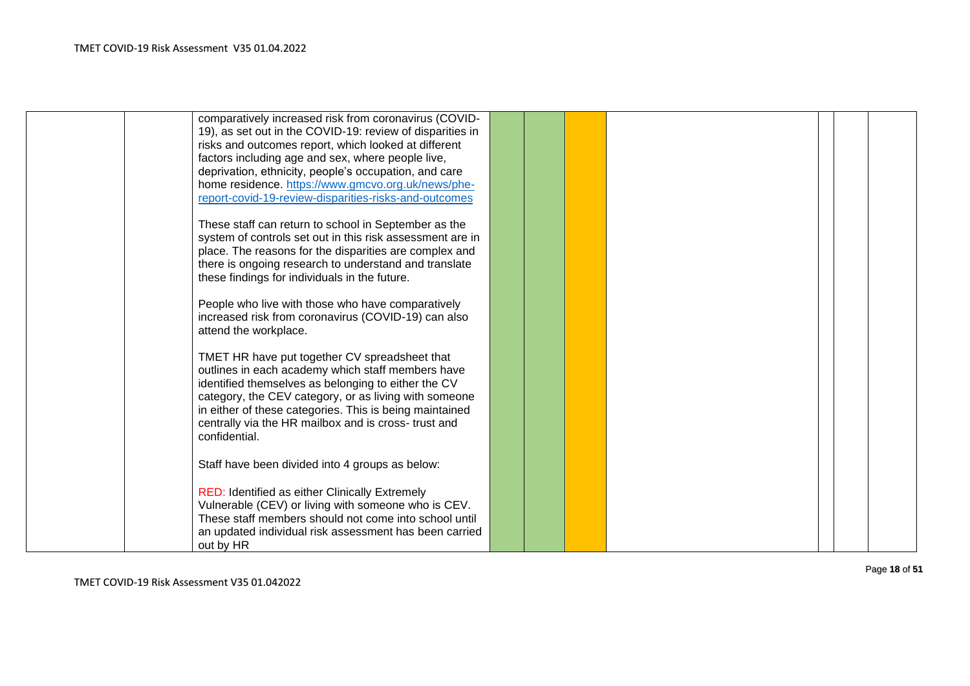| comparatively increased risk from coronavirus (COVID-     |  |  |  |  |
|-----------------------------------------------------------|--|--|--|--|
| 19), as set out in the COVID-19: review of disparities in |  |  |  |  |
| risks and outcomes report, which looked at different      |  |  |  |  |
| factors including age and sex, where people live,         |  |  |  |  |
| deprivation, ethnicity, people's occupation, and care     |  |  |  |  |
| home residence. https://www.gmcvo.org.uk/news/phe-        |  |  |  |  |
| report-covid-19-review-disparities-risks-and-outcomes     |  |  |  |  |
|                                                           |  |  |  |  |
| These staff can return to school in September as the      |  |  |  |  |
| system of controls set out in this risk assessment are in |  |  |  |  |
| place. The reasons for the disparities are complex and    |  |  |  |  |
| there is ongoing research to understand and translate     |  |  |  |  |
| these findings for individuals in the future.             |  |  |  |  |
|                                                           |  |  |  |  |
| People who live with those who have comparatively         |  |  |  |  |
| increased risk from coronavirus (COVID-19) can also       |  |  |  |  |
| attend the workplace.                                     |  |  |  |  |
|                                                           |  |  |  |  |
| TMET HR have put together CV spreadsheet that             |  |  |  |  |
| outlines in each academy which staff members have         |  |  |  |  |
| identified themselves as belonging to either the CV       |  |  |  |  |
| category, the CEV category, or as living with someone     |  |  |  |  |
| in either of these categories. This is being maintained   |  |  |  |  |
| centrally via the HR mailbox and is cross-trust and       |  |  |  |  |
| confidential.                                             |  |  |  |  |
|                                                           |  |  |  |  |
| Staff have been divided into 4 groups as below:           |  |  |  |  |
|                                                           |  |  |  |  |
| RED: Identified as either Clinically Extremely            |  |  |  |  |
| Vulnerable (CEV) or living with someone who is CEV.       |  |  |  |  |
| These staff members should not come into school until     |  |  |  |  |
| an updated individual risk assessment has been carried    |  |  |  |  |
| out by HR                                                 |  |  |  |  |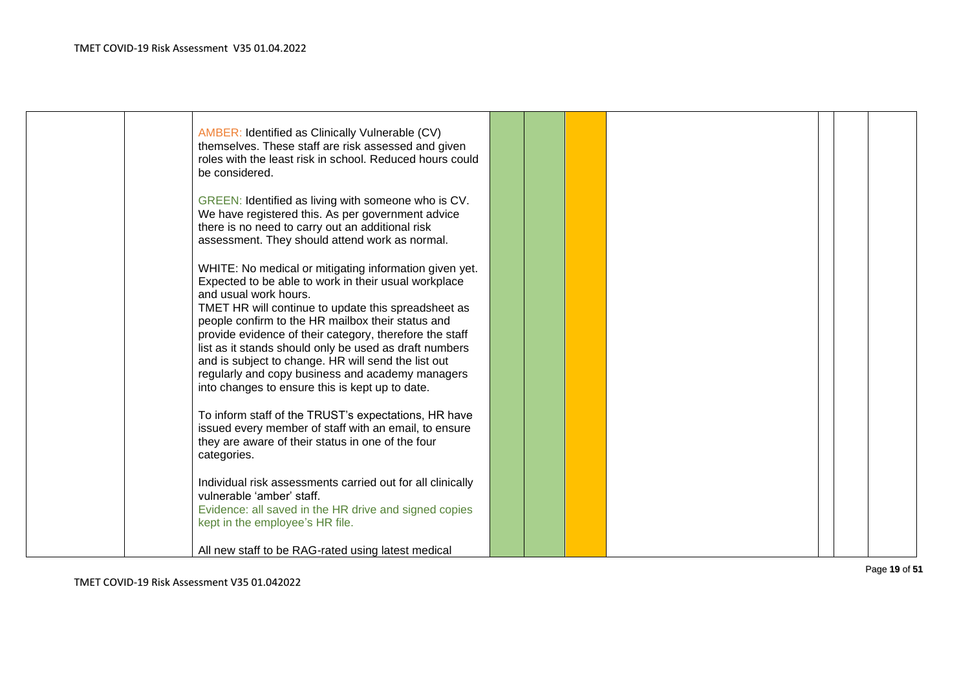|             | GREEN: Identified as living with someone who is CV.<br>We have registered this. As per government advice                                                                                                                                                                                                                                                                                                                                                                                                                               |  |  |  |  |
|-------------|----------------------------------------------------------------------------------------------------------------------------------------------------------------------------------------------------------------------------------------------------------------------------------------------------------------------------------------------------------------------------------------------------------------------------------------------------------------------------------------------------------------------------------------|--|--|--|--|
|             | there is no need to carry out an additional risk<br>assessment. They should attend work as normal.                                                                                                                                                                                                                                                                                                                                                                                                                                     |  |  |  |  |
|             | WHITE: No medical or mitigating information given yet.<br>Expected to be able to work in their usual workplace<br>and usual work hours.<br>TMET HR will continue to update this spreadsheet as<br>people confirm to the HR mailbox their status and<br>provide evidence of their category, therefore the staff<br>list as it stands should only be used as draft numbers<br>and is subject to change. HR will send the list out<br>regularly and copy business and academy managers<br>into changes to ensure this is kept up to date. |  |  |  |  |
| categories. | To inform staff of the TRUST's expectations, HR have<br>issued every member of staff with an email, to ensure<br>they are aware of their status in one of the four                                                                                                                                                                                                                                                                                                                                                                     |  |  |  |  |
|             | Individual risk assessments carried out for all clinically<br>vulnerable 'amber' staff.<br>Evidence: all saved in the HR drive and signed copies<br>kept in the employee's HR file.                                                                                                                                                                                                                                                                                                                                                    |  |  |  |  |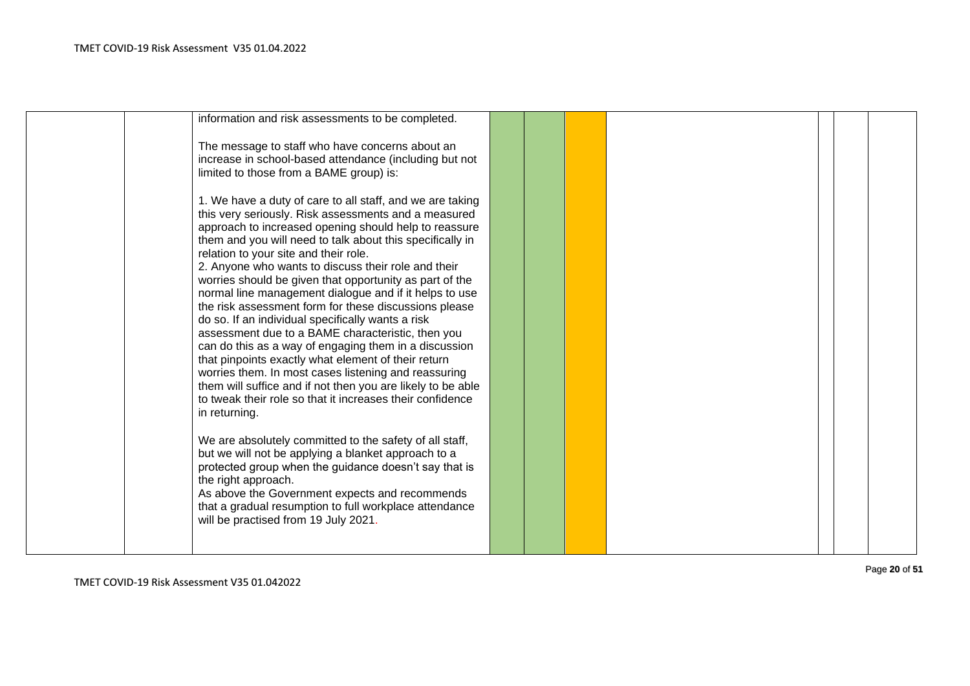| information and risk assessments to be completed.<br>The message to staff who have concerns about an<br>increase in school-based attendance (including but not<br>limited to those from a BAME group) is:<br>1. We have a duty of care to all staff, and we are taking<br>this very seriously. Risk assessments and a measured<br>approach to increased opening should help to reassure<br>them and you will need to talk about this specifically in<br>relation to your site and their role.<br>2. Anyone who wants to discuss their role and their<br>worries should be given that opportunity as part of the<br>normal line management dialogue and if it helps to use<br>the risk assessment form for these discussions please<br>do so. If an individual specifically wants a risk<br>assessment due to a BAME characteristic, then you<br>can do this as a way of engaging them in a discussion<br>that pinpoints exactly what element of their return<br>worries them. In most cases listening and reassuring<br>them will suffice and if not then you are likely to be able<br>to tweak their role so that it increases their confidence<br>in returning.<br>We are absolutely committed to the safety of all staff,<br>but we will not be applying a blanket approach to a<br>protected group when the guidance doesn't say that is<br>the right approach.<br>As above the Government expects and recommends<br>that a gradual resumption to full workplace attendance |  |  |  |  |
|---------------------------------------------------------------------------------------------------------------------------------------------------------------------------------------------------------------------------------------------------------------------------------------------------------------------------------------------------------------------------------------------------------------------------------------------------------------------------------------------------------------------------------------------------------------------------------------------------------------------------------------------------------------------------------------------------------------------------------------------------------------------------------------------------------------------------------------------------------------------------------------------------------------------------------------------------------------------------------------------------------------------------------------------------------------------------------------------------------------------------------------------------------------------------------------------------------------------------------------------------------------------------------------------------------------------------------------------------------------------------------------------------------------------------------------------------------------------------------|--|--|--|--|
| will be practised from 19 July 2021.                                                                                                                                                                                                                                                                                                                                                                                                                                                                                                                                                                                                                                                                                                                                                                                                                                                                                                                                                                                                                                                                                                                                                                                                                                                                                                                                                                                                                                            |  |  |  |  |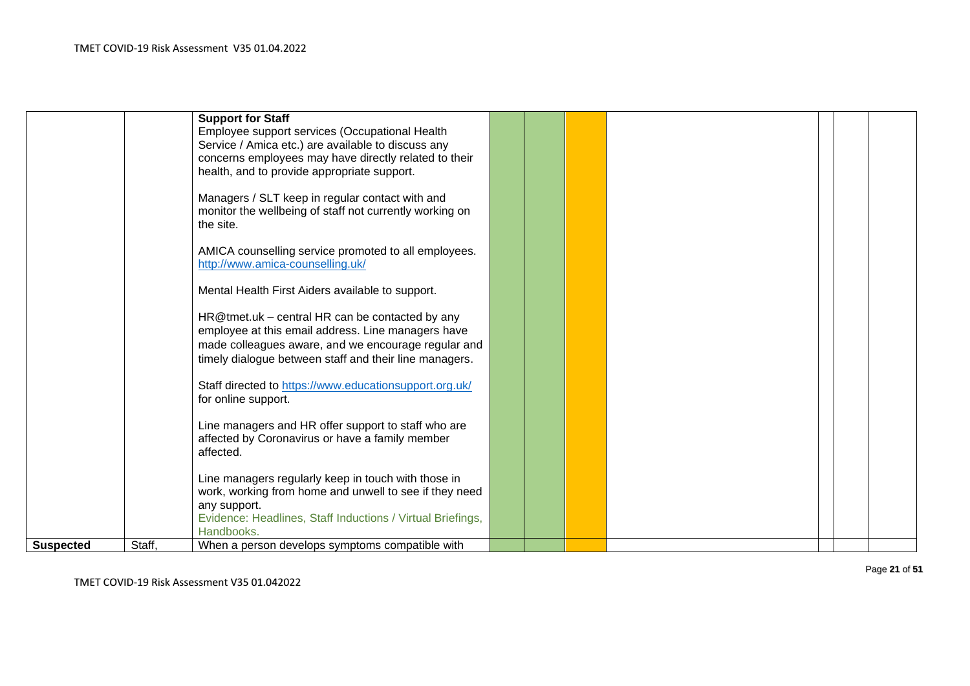|                  |        | <b>Support for Staff</b><br>Employee support services (Occupational Health<br>Service / Amica etc.) are available to discuss any<br>concerns employees may have directly related to their<br>health, and to provide appropriate support.<br>Managers / SLT keep in regular contact with and<br>monitor the wellbeing of staff not currently working on |  |  |  |  |
|------------------|--------|--------------------------------------------------------------------------------------------------------------------------------------------------------------------------------------------------------------------------------------------------------------------------------------------------------------------------------------------------------|--|--|--|--|
|                  |        | the site.<br>AMICA counselling service promoted to all employees.<br>http://www.amica-counselling.uk/                                                                                                                                                                                                                                                  |  |  |  |  |
|                  |        | Mental Health First Aiders available to support.<br>HR@tmet.uk - central HR can be contacted by any<br>employee at this email address. Line managers have<br>made colleagues aware, and we encourage regular and                                                                                                                                       |  |  |  |  |
|                  |        | timely dialogue between staff and their line managers.<br>Staff directed to https://www.educationsupport.org.uk/<br>for online support.                                                                                                                                                                                                                |  |  |  |  |
|                  |        | Line managers and HR offer support to staff who are<br>affected by Coronavirus or have a family member<br>affected.<br>Line managers regularly keep in touch with those in                                                                                                                                                                             |  |  |  |  |
| <b>Suspected</b> | Staff, | work, working from home and unwell to see if they need<br>any support.<br>Evidence: Headlines, Staff Inductions / Virtual Briefings,<br>Handbooks.<br>When a person develops symptoms compatible with                                                                                                                                                  |  |  |  |  |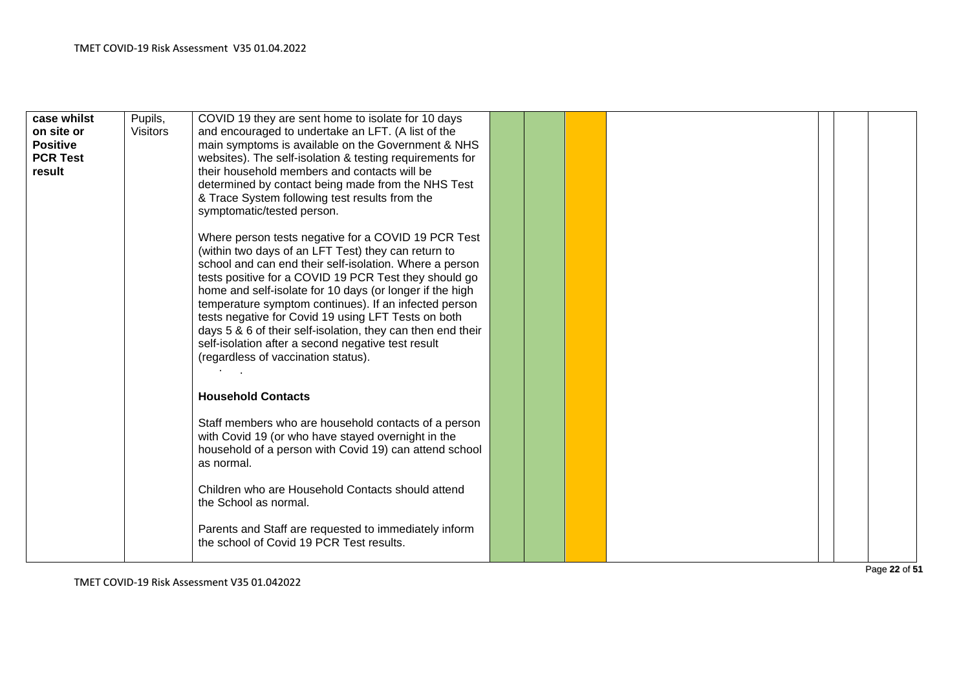| case whilst<br>on site or<br><b>Positive</b><br><b>PCR Test</b><br>result | Pupils,<br><b>Visitors</b> | COVID 19 they are sent home to isolate for 10 days<br>and encouraged to undertake an LFT. (A list of the<br>main symptoms is available on the Government & NHS<br>websites). The self-isolation & testing requirements for<br>their household members and contacts will be<br>determined by contact being made from the NHS Test<br>& Trace System following test results from the<br>symptomatic/tested person.                                                                                                                                                       |  |  |  |  |
|---------------------------------------------------------------------------|----------------------------|------------------------------------------------------------------------------------------------------------------------------------------------------------------------------------------------------------------------------------------------------------------------------------------------------------------------------------------------------------------------------------------------------------------------------------------------------------------------------------------------------------------------------------------------------------------------|--|--|--|--|
|                                                                           |                            | Where person tests negative for a COVID 19 PCR Test<br>(within two days of an LFT Test) they can return to<br>school and can end their self-isolation. Where a person<br>tests positive for a COVID 19 PCR Test they should go<br>home and self-isolate for 10 days (or longer if the high<br>temperature symptom continues). If an infected person<br>tests negative for Covid 19 using LFT Tests on both<br>days 5 & 6 of their self-isolation, they can then end their<br>self-isolation after a second negative test result<br>(regardless of vaccination status). |  |  |  |  |
|                                                                           |                            | <b>Household Contacts</b>                                                                                                                                                                                                                                                                                                                                                                                                                                                                                                                                              |  |  |  |  |
|                                                                           |                            | Staff members who are household contacts of a person<br>with Covid 19 (or who have stayed overnight in the<br>household of a person with Covid 19) can attend school<br>as normal.                                                                                                                                                                                                                                                                                                                                                                                     |  |  |  |  |
|                                                                           |                            | Children who are Household Contacts should attend<br>the School as normal.                                                                                                                                                                                                                                                                                                                                                                                                                                                                                             |  |  |  |  |
|                                                                           |                            | Parents and Staff are requested to immediately inform<br>the school of Covid 19 PCR Test results.                                                                                                                                                                                                                                                                                                                                                                                                                                                                      |  |  |  |  |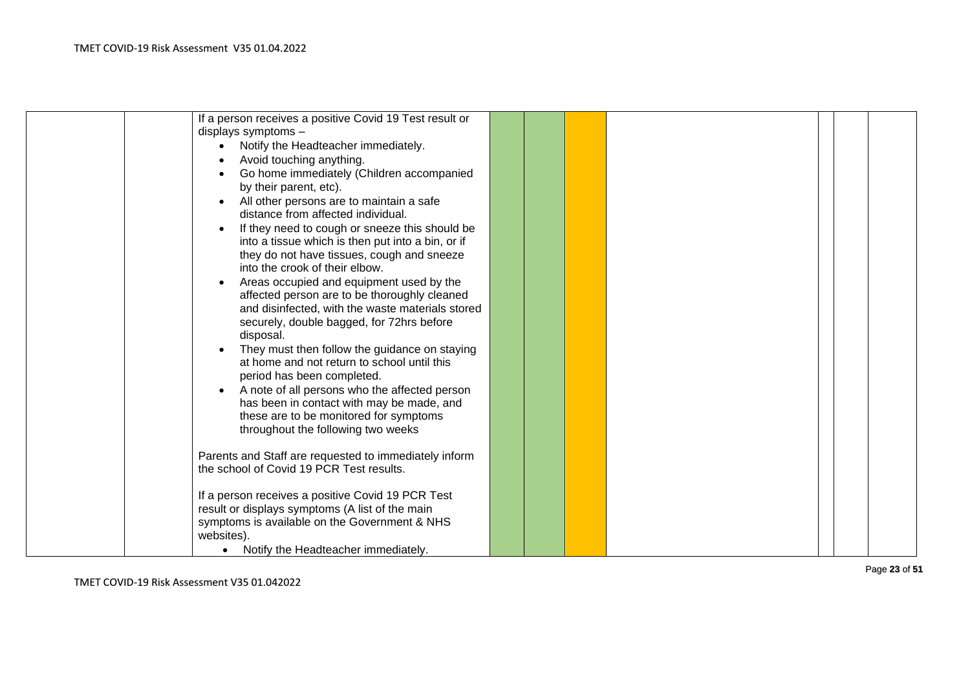| If a person receives a positive Covid 19 Test result or |  |  |  |
|---------------------------------------------------------|--|--|--|
|                                                         |  |  |  |
| displays symptoms -                                     |  |  |  |
| Notify the Headteacher immediately.                     |  |  |  |
| Avoid touching anything.                                |  |  |  |
| Go home immediately (Children accompanied               |  |  |  |
| by their parent, etc).                                  |  |  |  |
| All other persons are to maintain a safe                |  |  |  |
| distance from affected individual.                      |  |  |  |
|                                                         |  |  |  |
| If they need to cough or sneeze this should be          |  |  |  |
| into a tissue which is then put into a bin, or if       |  |  |  |
| they do not have tissues, cough and sneeze              |  |  |  |
| into the crook of their elbow.                          |  |  |  |
| Areas occupied and equipment used by the                |  |  |  |
| affected person are to be thoroughly cleaned            |  |  |  |
| and disinfected, with the waste materials stored        |  |  |  |
| securely, double bagged, for 72hrs before               |  |  |  |
| disposal.                                               |  |  |  |
| They must then follow the guidance on staying           |  |  |  |
| at home and not return to school until this             |  |  |  |
| period has been completed.                              |  |  |  |
| A note of all persons who the affected person           |  |  |  |
|                                                         |  |  |  |
| has been in contact with may be made, and               |  |  |  |
| these are to be monitored for symptoms                  |  |  |  |
| throughout the following two weeks                      |  |  |  |
|                                                         |  |  |  |
| Parents and Staff are requested to immediately inform   |  |  |  |
| the school of Covid 19 PCR Test results.                |  |  |  |
|                                                         |  |  |  |
| If a person receives a positive Covid 19 PCR Test       |  |  |  |
| result or displays symptoms (A list of the main         |  |  |  |
| symptoms is available on the Government & NHS           |  |  |  |
| websites).                                              |  |  |  |
| Notify the Headteacher immediately.<br>$\bullet$        |  |  |  |
|                                                         |  |  |  |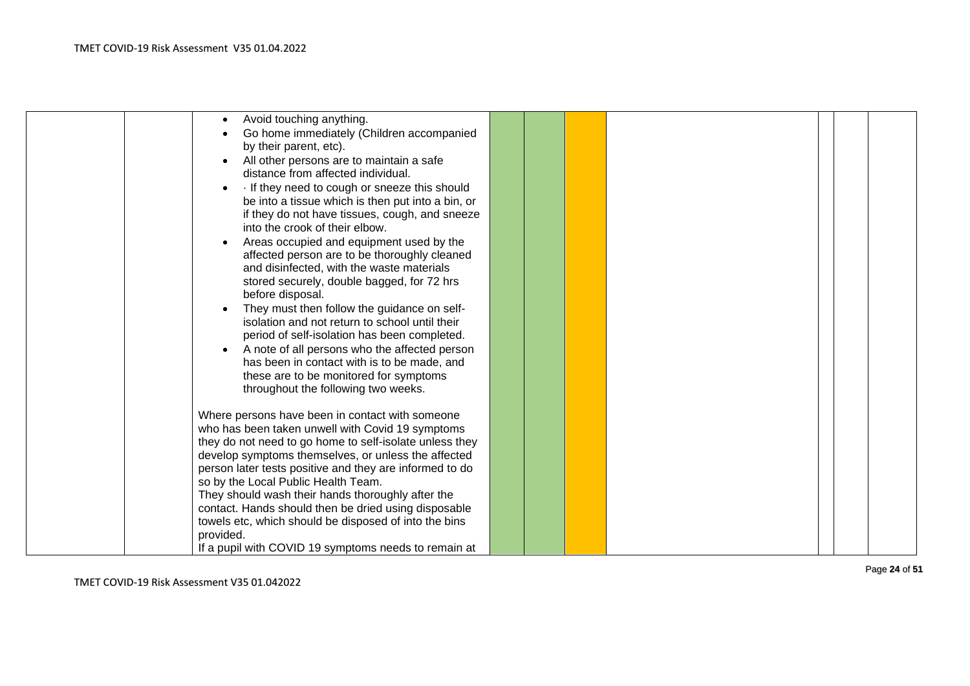| Avoid touching anything.<br>Go home immediately (Children accompanied<br>by their parent, etc).<br>All other persons are to maintain a safe<br>distance from affected individual.<br>If they need to cough or sneeze this should<br>be into a tissue which is then put into a bin, or<br>if they do not have tissues, cough, and sneeze<br>into the crook of their elbow.<br>Areas occupied and equipment used by the<br>affected person are to be thoroughly cleaned<br>and disinfected, with the waste materials<br>stored securely, double bagged, for 72 hrs<br>before disposal.<br>They must then follow the guidance on self-<br>isolation and not return to school until their<br>period of self-isolation has been completed.<br>A note of all persons who the affected person |  |  |  |  |
|----------------------------------------------------------------------------------------------------------------------------------------------------------------------------------------------------------------------------------------------------------------------------------------------------------------------------------------------------------------------------------------------------------------------------------------------------------------------------------------------------------------------------------------------------------------------------------------------------------------------------------------------------------------------------------------------------------------------------------------------------------------------------------------|--|--|--|--|
| has been in contact with is to be made, and<br>these are to be monitored for symptoms<br>throughout the following two weeks.                                                                                                                                                                                                                                                                                                                                                                                                                                                                                                                                                                                                                                                           |  |  |  |  |
| Where persons have been in contact with someone<br>who has been taken unwell with Covid 19 symptoms<br>they do not need to go home to self-isolate unless they<br>develop symptoms themselves, or unless the affected<br>person later tests positive and they are informed to do<br>so by the Local Public Health Team.                                                                                                                                                                                                                                                                                                                                                                                                                                                                |  |  |  |  |
| They should wash their hands thoroughly after the<br>contact. Hands should then be dried using disposable<br>towels etc, which should be disposed of into the bins<br>provided.<br>If a pupil with COVID 19 symptoms needs to remain at                                                                                                                                                                                                                                                                                                                                                                                                                                                                                                                                                |  |  |  |  |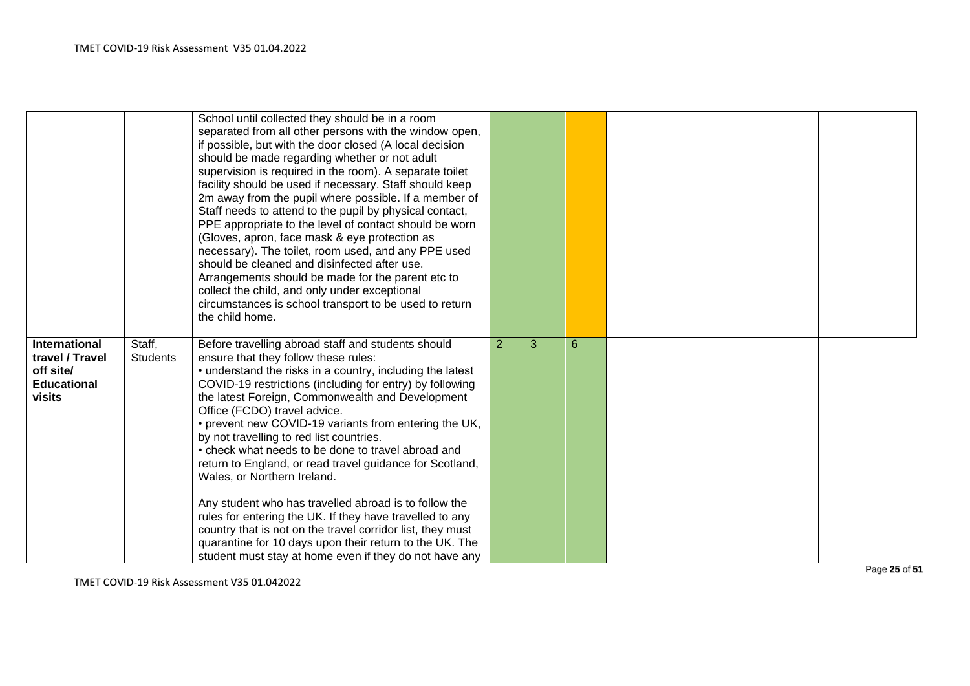|                                                                                      |                           | School until collected they should be in a room<br>separated from all other persons with the window open,<br>if possible, but with the door closed (A local decision<br>should be made regarding whether or not adult<br>supervision is required in the room). A separate toilet<br>facility should be used if necessary. Staff should keep<br>2m away from the pupil where possible. If a member of<br>Staff needs to attend to the pupil by physical contact,<br>PPE appropriate to the level of contact should be worn<br>(Gloves, apron, face mask & eye protection as<br>necessary). The toilet, room used, and any PPE used<br>should be cleaned and disinfected after use.<br>Arrangements should be made for the parent etc to<br>collect the child, and only under exceptional<br>circumstances is school transport to be used to return<br>the child home.  |                |   |   |  |  |  |
|--------------------------------------------------------------------------------------|---------------------------|-----------------------------------------------------------------------------------------------------------------------------------------------------------------------------------------------------------------------------------------------------------------------------------------------------------------------------------------------------------------------------------------------------------------------------------------------------------------------------------------------------------------------------------------------------------------------------------------------------------------------------------------------------------------------------------------------------------------------------------------------------------------------------------------------------------------------------------------------------------------------|----------------|---|---|--|--|--|
| <b>International</b><br>travel / Travel<br>off site/<br><b>Educational</b><br>visits | Staff,<br><b>Students</b> | Before travelling abroad staff and students should<br>ensure that they follow these rules:<br>• understand the risks in a country, including the latest<br>COVID-19 restrictions (including for entry) by following<br>the latest Foreign, Commonwealth and Development<br>Office (FCDO) travel advice.<br>• prevent new COVID-19 variants from entering the UK,<br>by not travelling to red list countries.<br>• check what needs to be done to travel abroad and<br>return to England, or read travel guidance for Scotland,<br>Wales, or Northern Ireland.<br>Any student who has travelled abroad is to follow the<br>rules for entering the UK. If they have travelled to any<br>country that is not on the travel corridor list, they must<br>quarantine for 10-days upon their return to the UK. The<br>student must stay at home even if they do not have any | $\overline{2}$ | 3 | 6 |  |  |  |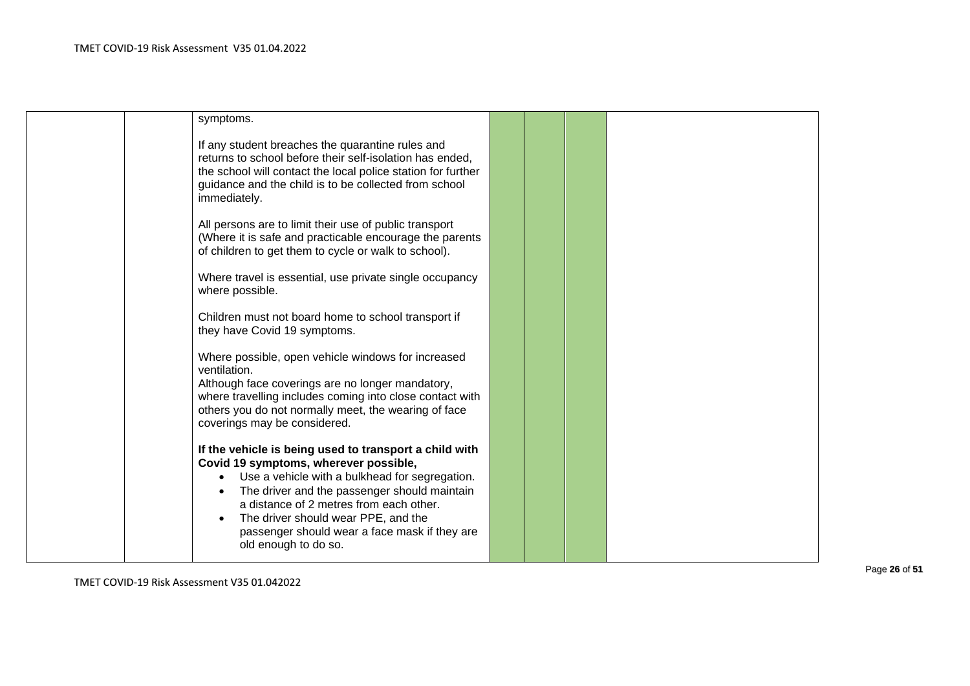| symptoms.                                                                                                                                                                                                                                             |  |  |
|-------------------------------------------------------------------------------------------------------------------------------------------------------------------------------------------------------------------------------------------------------|--|--|
| If any student breaches the quarantine rules and<br>returns to school before their self-isolation has ended,<br>the school will contact the local police station for further<br>guidance and the child is to be collected from school<br>immediately. |  |  |
| All persons are to limit their use of public transport<br>(Where it is safe and practicable encourage the parents<br>of children to get them to cycle or walk to school).                                                                             |  |  |
| Where travel is essential, use private single occupancy<br>where possible.                                                                                                                                                                            |  |  |
| Children must not board home to school transport if<br>they have Covid 19 symptoms.                                                                                                                                                                   |  |  |
| Where possible, open vehicle windows for increased<br>ventilation.                                                                                                                                                                                    |  |  |
| Although face coverings are no longer mandatory,<br>where travelling includes coming into close contact with                                                                                                                                          |  |  |
| others you do not normally meet, the wearing of face<br>coverings may be considered.                                                                                                                                                                  |  |  |
| If the vehicle is being used to transport a child with<br>Covid 19 symptoms, wherever possible,                                                                                                                                                       |  |  |
| Use a vehicle with a bulkhead for segregation.                                                                                                                                                                                                        |  |  |
| The driver and the passenger should maintain                                                                                                                                                                                                          |  |  |
| a distance of 2 metres from each other.                                                                                                                                                                                                               |  |  |
| The driver should wear PPE, and the                                                                                                                                                                                                                   |  |  |
| passenger should wear a face mask if they are                                                                                                                                                                                                         |  |  |
| old enough to do so.                                                                                                                                                                                                                                  |  |  |
|                                                                                                                                                                                                                                                       |  |  |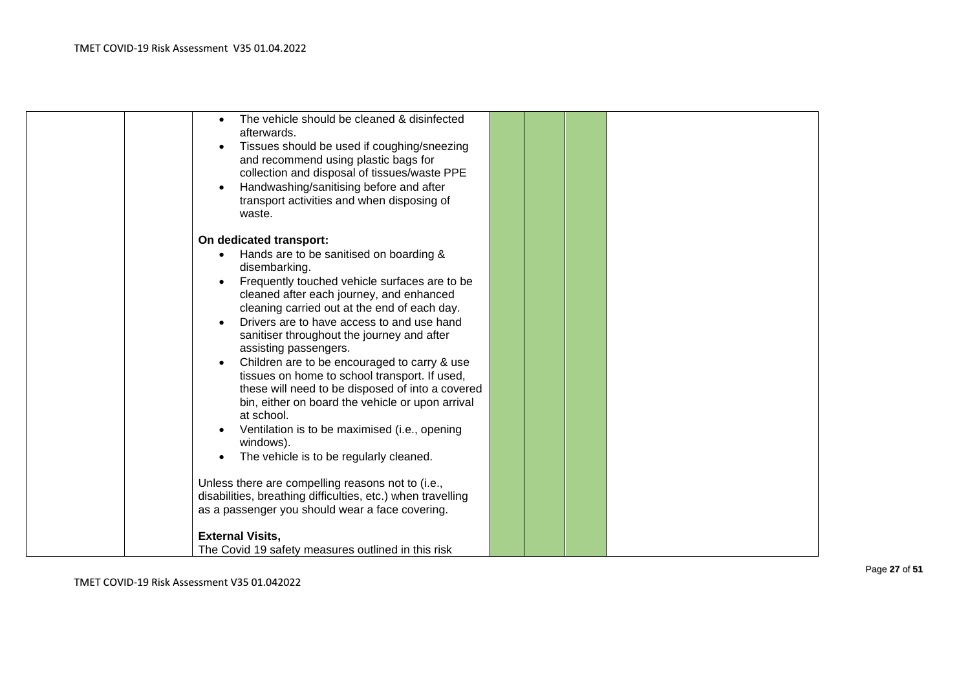| The vehicle should be cleaned & disinfected                 |  |  |  |
|-------------------------------------------------------------|--|--|--|
| afterwards.                                                 |  |  |  |
| Tissues should be used if coughing/sneezing                 |  |  |  |
| and recommend using plastic bags for                        |  |  |  |
| collection and disposal of tissues/waste PPE                |  |  |  |
| Handwashing/sanitising before and after                     |  |  |  |
| transport activities and when disposing of                  |  |  |  |
| waste.                                                      |  |  |  |
|                                                             |  |  |  |
| On dedicated transport:                                     |  |  |  |
| Hands are to be sanitised on boarding &                     |  |  |  |
| disembarking.                                               |  |  |  |
| Frequently touched vehicle surfaces are to be               |  |  |  |
| cleaned after each journey, and enhanced                    |  |  |  |
| cleaning carried out at the end of each day.                |  |  |  |
| Drivers are to have access to and use hand                  |  |  |  |
| sanitiser throughout the journey and after                  |  |  |  |
| assisting passengers.                                       |  |  |  |
| Children are to be encouraged to carry & use                |  |  |  |
| tissues on home to school transport. If used,               |  |  |  |
| these will need to be disposed of into a covered            |  |  |  |
| bin, either on board the vehicle or upon arrival            |  |  |  |
| at school.                                                  |  |  |  |
| Ventilation is to be maximised (i.e., opening               |  |  |  |
| windows).                                                   |  |  |  |
|                                                             |  |  |  |
| The vehicle is to be regularly cleaned.                     |  |  |  |
|                                                             |  |  |  |
| Unless there are compelling reasons not to (i.e.,           |  |  |  |
| disabilities, breathing difficulties, etc.) when travelling |  |  |  |
| as a passenger you should wear a face covering.             |  |  |  |
| <b>External Visits,</b>                                     |  |  |  |
|                                                             |  |  |  |
| The Covid 19 safety measures outlined in this risk          |  |  |  |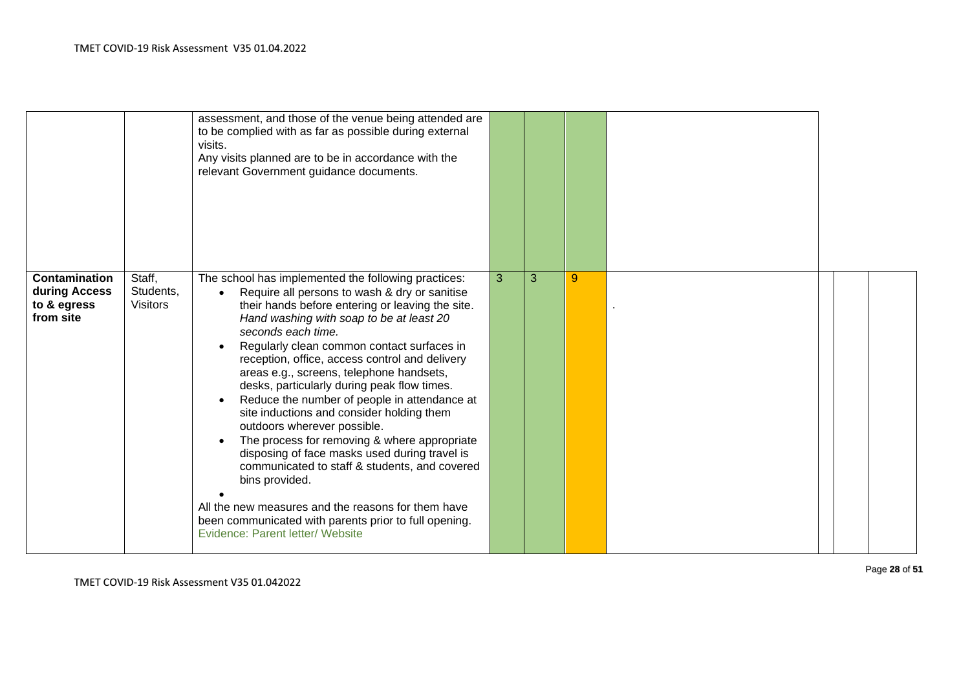|                                                                   |                                        | assessment, and those of the venue being attended are<br>to be complied with as far as possible during external<br>visits.<br>Any visits planned are to be in accordance with the<br>relevant Government guidance documents.                                                                                                                                                                                                                                                                                                                                                                                                                                                                                                                                                                                                                                                          |              |   |   |  |  |
|-------------------------------------------------------------------|----------------------------------------|---------------------------------------------------------------------------------------------------------------------------------------------------------------------------------------------------------------------------------------------------------------------------------------------------------------------------------------------------------------------------------------------------------------------------------------------------------------------------------------------------------------------------------------------------------------------------------------------------------------------------------------------------------------------------------------------------------------------------------------------------------------------------------------------------------------------------------------------------------------------------------------|--------------|---|---|--|--|
| <b>Contamination</b><br>during Access<br>to & egress<br>from site | Staff,<br>Students,<br><b>Visitors</b> | The school has implemented the following practices:<br>Require all persons to wash & dry or sanitise<br>$\bullet$<br>their hands before entering or leaving the site.<br>Hand washing with soap to be at least 20<br>seconds each time.<br>Regularly clean common contact surfaces in<br>reception, office, access control and delivery<br>areas e.g., screens, telephone handsets,<br>desks, particularly during peak flow times.<br>Reduce the number of people in attendance at<br>site inductions and consider holding them<br>outdoors wherever possible.<br>The process for removing & where appropriate<br>disposing of face masks used during travel is<br>communicated to staff & students, and covered<br>bins provided.<br>All the new measures and the reasons for them have<br>been communicated with parents prior to full opening.<br>Evidence: Parent letter/ Website | $\mathbf{3}$ | 3 | 9 |  |  |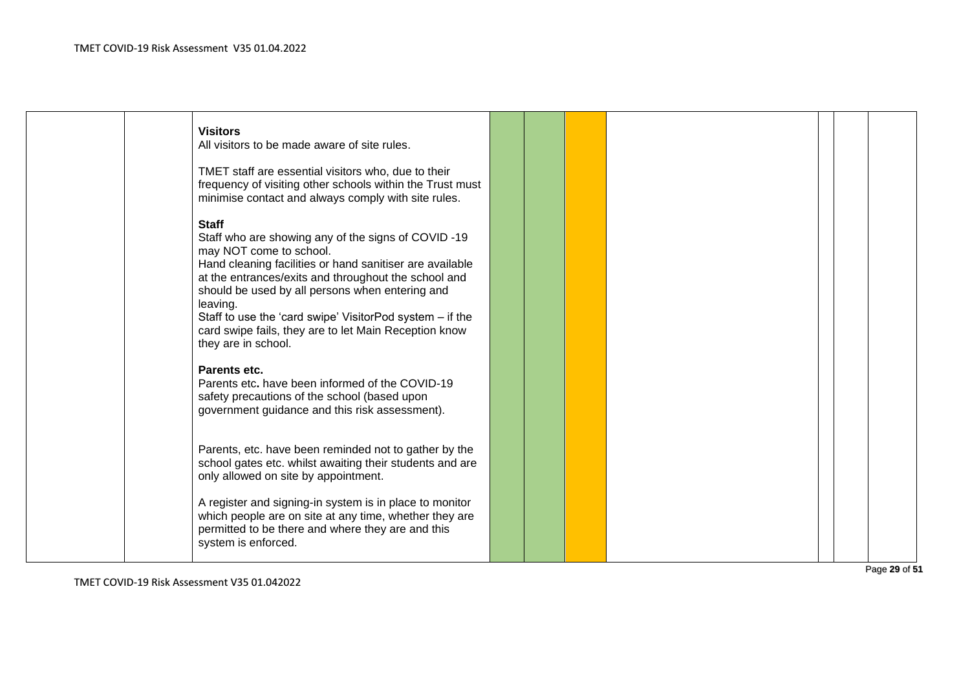|  | <b>Visitors</b><br>All visitors to be made aware of site rules.                                                                                                                                                                                                                                                                                                                                                              |  |  |  |  |
|--|------------------------------------------------------------------------------------------------------------------------------------------------------------------------------------------------------------------------------------------------------------------------------------------------------------------------------------------------------------------------------------------------------------------------------|--|--|--|--|
|  | TMET staff are essential visitors who, due to their<br>frequency of visiting other schools within the Trust must<br>minimise contact and always comply with site rules.                                                                                                                                                                                                                                                      |  |  |  |  |
|  | <b>Staff</b><br>Staff who are showing any of the signs of COVID-19<br>may NOT come to school.<br>Hand cleaning facilities or hand sanitiser are available<br>at the entrances/exits and throughout the school and<br>should be used by all persons when entering and<br>leaving.<br>Staff to use the 'card swipe' VisitorPod system - if the<br>card swipe fails, they are to let Main Reception know<br>they are in school. |  |  |  |  |
|  | Parents etc.<br>Parents etc. have been informed of the COVID-19<br>safety precautions of the school (based upon<br>government guidance and this risk assessment).                                                                                                                                                                                                                                                            |  |  |  |  |
|  | Parents, etc. have been reminded not to gather by the<br>school gates etc. whilst awaiting their students and are<br>only allowed on site by appointment.                                                                                                                                                                                                                                                                    |  |  |  |  |
|  | A register and signing-in system is in place to monitor<br>which people are on site at any time, whether they are<br>permitted to be there and where they are and this<br>system is enforced.                                                                                                                                                                                                                                |  |  |  |  |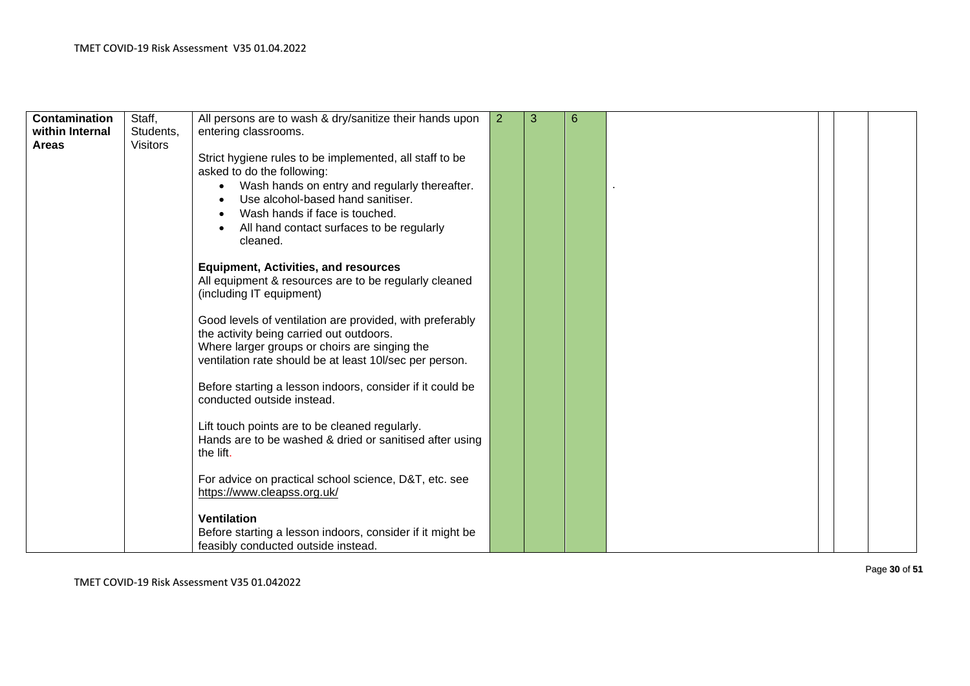| Contamination<br>within Internal | Staff,<br>Students, | All persons are to wash & dry/sanitize their hands upon<br>entering classrooms.                                                                                                                                  | 2 | 3 | 6 |  |  |
|----------------------------------|---------------------|------------------------------------------------------------------------------------------------------------------------------------------------------------------------------------------------------------------|---|---|---|--|--|
| <b>Areas</b>                     | <b>Visitors</b>     |                                                                                                                                                                                                                  |   |   |   |  |  |
|                                  |                     | Strict hygiene rules to be implemented, all staff to be<br>asked to do the following:                                                                                                                            |   |   |   |  |  |
|                                  |                     | Wash hands on entry and regularly thereafter.<br>$\bullet$<br>Use alcohol-based hand sanitiser.                                                                                                                  |   |   |   |  |  |
|                                  |                     | Wash hands if face is touched.<br>All hand contact surfaces to be regularly<br>cleaned.                                                                                                                          |   |   |   |  |  |
|                                  |                     | <b>Equipment, Activities, and resources</b><br>All equipment & resources are to be regularly cleaned<br>(including IT equipment)                                                                                 |   |   |   |  |  |
|                                  |                     | Good levels of ventilation are provided, with preferably<br>the activity being carried out outdoors.<br>Where larger groups or choirs are singing the<br>ventilation rate should be at least 10l/sec per person. |   |   |   |  |  |
|                                  |                     | Before starting a lesson indoors, consider if it could be<br>conducted outside instead.                                                                                                                          |   |   |   |  |  |
|                                  |                     | Lift touch points are to be cleaned regularly.<br>Hands are to be washed & dried or sanitised after using<br>the lift.                                                                                           |   |   |   |  |  |
|                                  |                     | For advice on practical school science, D&T, etc. see<br>https://www.cleapss.org.uk/                                                                                                                             |   |   |   |  |  |
|                                  |                     | <b>Ventilation</b><br>Before starting a lesson indoors, consider if it might be<br>feasibly conducted outside instead.                                                                                           |   |   |   |  |  |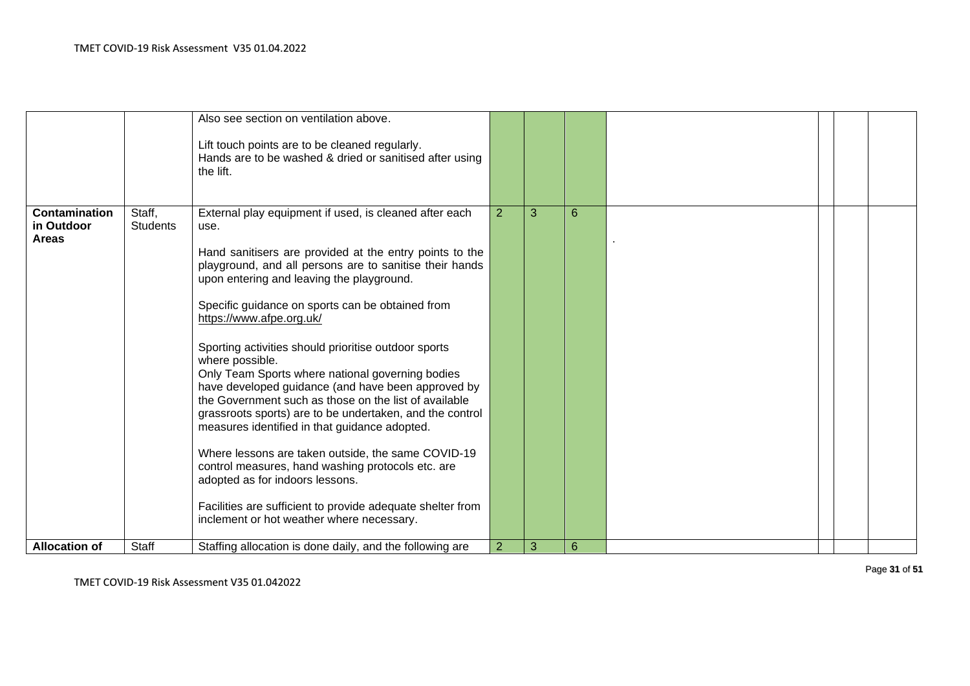|                                                    |                           | Also see section on ventilation above.<br>Lift touch points are to be cleaned regularly.<br>Hands are to be washed & dried or sanitised after using<br>the lift.                                                                                                                                                                                                                                                                                                                                                                                                                                                                                                                                                                                                                                                                                                                                                                      |                |   |   |  |  |
|----------------------------------------------------|---------------------------|---------------------------------------------------------------------------------------------------------------------------------------------------------------------------------------------------------------------------------------------------------------------------------------------------------------------------------------------------------------------------------------------------------------------------------------------------------------------------------------------------------------------------------------------------------------------------------------------------------------------------------------------------------------------------------------------------------------------------------------------------------------------------------------------------------------------------------------------------------------------------------------------------------------------------------------|----------------|---|---|--|--|
| <b>Contamination</b><br>in Outdoor<br><b>Areas</b> | Staff,<br><b>Students</b> | External play equipment if used, is cleaned after each<br>use.<br>Hand sanitisers are provided at the entry points to the<br>playground, and all persons are to sanitise their hands<br>upon entering and leaving the playground.<br>Specific guidance on sports can be obtained from<br>https://www.afpe.org.uk/<br>Sporting activities should prioritise outdoor sports<br>where possible.<br>Only Team Sports where national governing bodies<br>have developed guidance (and have been approved by<br>the Government such as those on the list of available<br>grassroots sports) are to be undertaken, and the control<br>measures identified in that guidance adopted.<br>Where lessons are taken outside, the same COVID-19<br>control measures, hand washing protocols etc. are<br>adopted as for indoors lessons.<br>Facilities are sufficient to provide adequate shelter from<br>inclement or hot weather where necessary. | $\overline{2}$ | 3 | 6 |  |  |
| <b>Allocation of</b>                               | <b>Staff</b>              | Staffing allocation is done daily, and the following are                                                                                                                                                                                                                                                                                                                                                                                                                                                                                                                                                                                                                                                                                                                                                                                                                                                                              | $\overline{2}$ | 3 | 6 |  |  |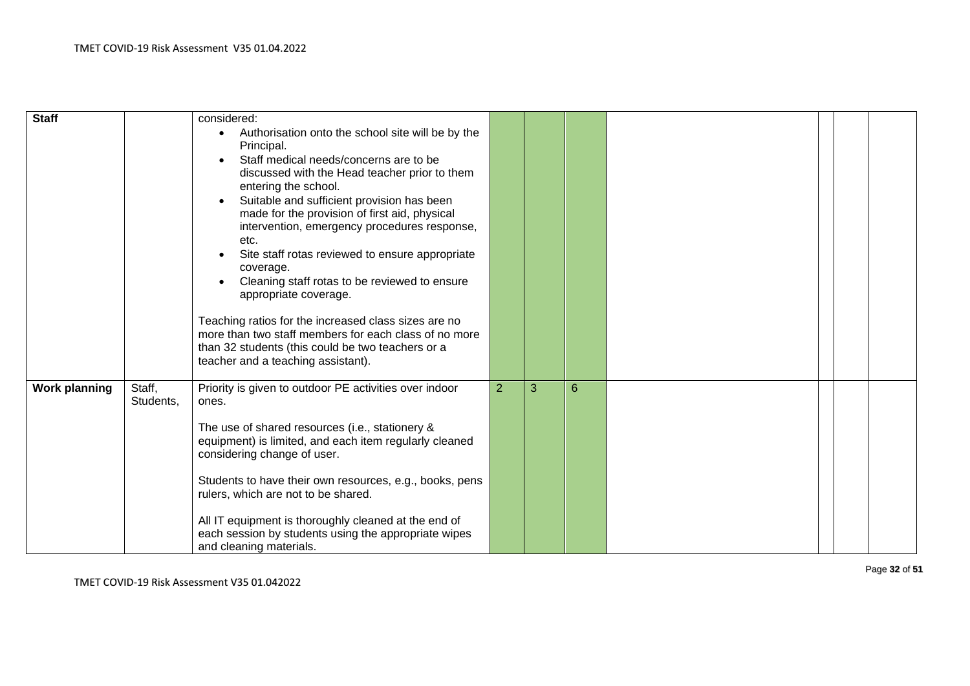| <b>Staff</b>         |                     | considered:<br>Authorisation onto the school site will be by the<br>$\bullet$<br>Principal.<br>Staff medical needs/concerns are to be<br>discussed with the Head teacher prior to them<br>entering the school.<br>Suitable and sufficient provision has been<br>made for the provision of first aid, physical<br>intervention, emergency procedures response,<br>etc.<br>Site staff rotas reviewed to ensure appropriate<br>coverage.<br>Cleaning staff rotas to be reviewed to ensure<br>appropriate coverage.<br>Teaching ratios for the increased class sizes are no<br>more than two staff members for each class of no more<br>than 32 students (this could be two teachers or a<br>teacher and a teaching assistant). |                |   |   |  |  |
|----------------------|---------------------|-----------------------------------------------------------------------------------------------------------------------------------------------------------------------------------------------------------------------------------------------------------------------------------------------------------------------------------------------------------------------------------------------------------------------------------------------------------------------------------------------------------------------------------------------------------------------------------------------------------------------------------------------------------------------------------------------------------------------------|----------------|---|---|--|--|
| <b>Work planning</b> | Staff,<br>Students, | Priority is given to outdoor PE activities over indoor<br>ones.<br>The use of shared resources (i.e., stationery &<br>equipment) is limited, and each item regularly cleaned<br>considering change of user.<br>Students to have their own resources, e.g., books, pens<br>rulers, which are not to be shared.<br>All IT equipment is thoroughly cleaned at the end of<br>each session by students using the appropriate wipes<br>and cleaning materials.                                                                                                                                                                                                                                                                    | $\overline{2}$ | 3 | 6 |  |  |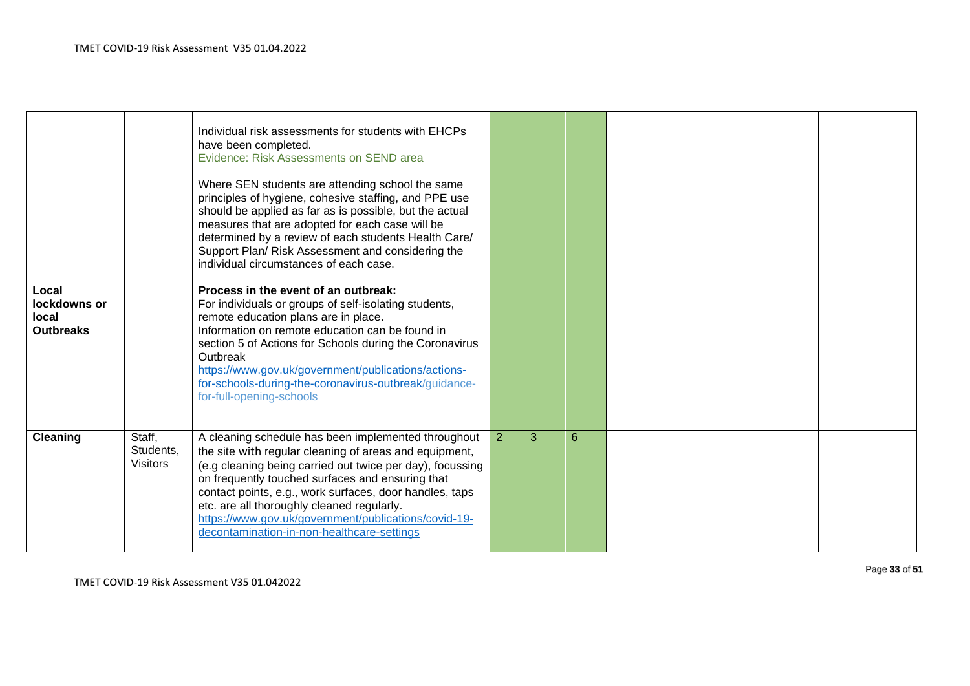| Local<br>lockdowns or<br>local<br><b>Outbreaks</b> |                                        | Individual risk assessments for students with EHCPs<br>have been completed.<br>Evidence: Risk Assessments on SEND area<br>Where SEN students are attending school the same<br>principles of hygiene, cohesive staffing, and PPE use<br>should be applied as far as is possible, but the actual<br>measures that are adopted for each case will be<br>determined by a review of each students Health Care/<br>Support Plan/ Risk Assessment and considering the<br>individual circumstances of each case.<br>Process in the event of an outbreak:<br>For individuals or groups of self-isolating students,<br>remote education plans are in place.<br>Information on remote education can be found in<br>section 5 of Actions for Schools during the Coronavirus<br>Outbreak<br>https://www.gov.uk/government/publications/actions-<br>for-schools-during-the-coronavirus-outbreak/guidance-<br>for-full-opening-schools |   |   |   |  |  |
|----------------------------------------------------|----------------------------------------|-------------------------------------------------------------------------------------------------------------------------------------------------------------------------------------------------------------------------------------------------------------------------------------------------------------------------------------------------------------------------------------------------------------------------------------------------------------------------------------------------------------------------------------------------------------------------------------------------------------------------------------------------------------------------------------------------------------------------------------------------------------------------------------------------------------------------------------------------------------------------------------------------------------------------|---|---|---|--|--|
| Cleaning                                           | Staff,<br>Students,<br><b>Visitors</b> | A cleaning schedule has been implemented throughout<br>the site with regular cleaning of areas and equipment,<br>(e.g cleaning being carried out twice per day), focussing<br>on frequently touched surfaces and ensuring that<br>contact points, e.g., work surfaces, door handles, taps<br>etc. are all thoroughly cleaned regularly.<br>https://www.gov.uk/government/publications/covid-19-<br>decontamination-in-non-healthcare-settings                                                                                                                                                                                                                                                                                                                                                                                                                                                                           | 2 | 3 | 6 |  |  |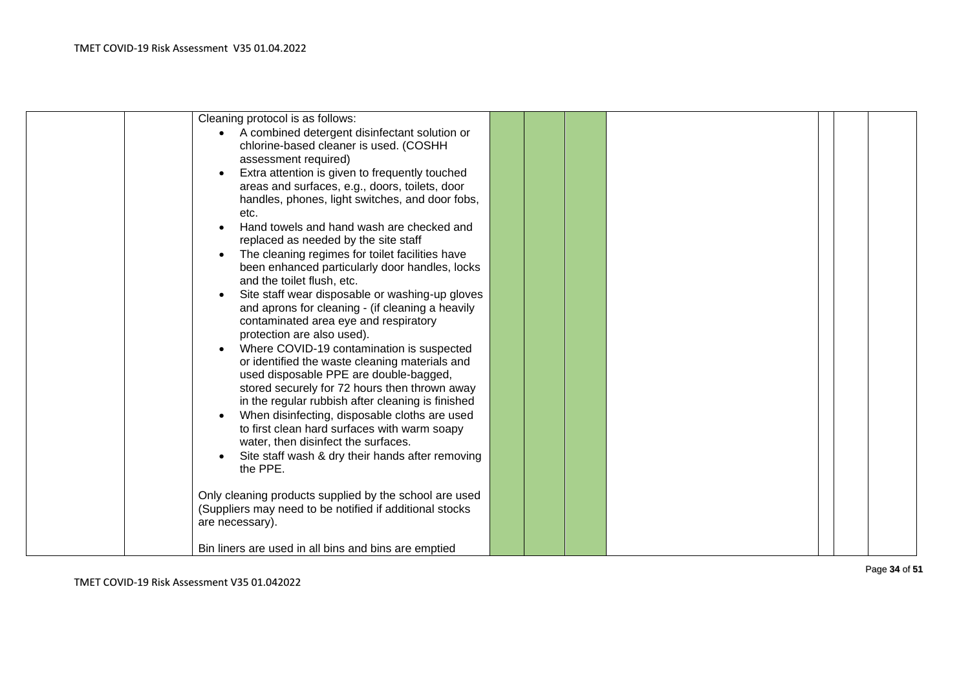| Cleaning protocol is as follows:<br>A combined detergent disinfectant solution or<br>chlorine-based cleaner is used. (COSHH<br>assessment required)<br>Extra attention is given to frequently touched                                                                                                                                                                                                                                                                             |  |  |  |  |
|-----------------------------------------------------------------------------------------------------------------------------------------------------------------------------------------------------------------------------------------------------------------------------------------------------------------------------------------------------------------------------------------------------------------------------------------------------------------------------------|--|--|--|--|
| areas and surfaces, e.g., doors, toilets, door<br>handles, phones, light switches, and door fobs,<br>etc.<br>Hand towels and hand wash are checked and<br>replaced as needed by the site staff<br>The cleaning regimes for toilet facilities have                                                                                                                                                                                                                                 |  |  |  |  |
| been enhanced particularly door handles, locks<br>and the toilet flush, etc.<br>Site staff wear disposable or washing-up gloves<br>and aprons for cleaning - (if cleaning a heavily<br>contaminated area eye and respiratory                                                                                                                                                                                                                                                      |  |  |  |  |
| protection are also used).<br>Where COVID-19 contamination is suspected<br>or identified the waste cleaning materials and<br>used disposable PPE are double-bagged,<br>stored securely for 72 hours then thrown away<br>in the regular rubbish after cleaning is finished<br>When disinfecting, disposable cloths are used<br>to first clean hard surfaces with warm soapy<br>water, then disinfect the surfaces.<br>Site staff wash & dry their hands after removing<br>the PPE. |  |  |  |  |
| Only cleaning products supplied by the school are used<br>(Suppliers may need to be notified if additional stocks<br>are necessary).                                                                                                                                                                                                                                                                                                                                              |  |  |  |  |
| Bin liners are used in all bins and bins are emptied                                                                                                                                                                                                                                                                                                                                                                                                                              |  |  |  |  |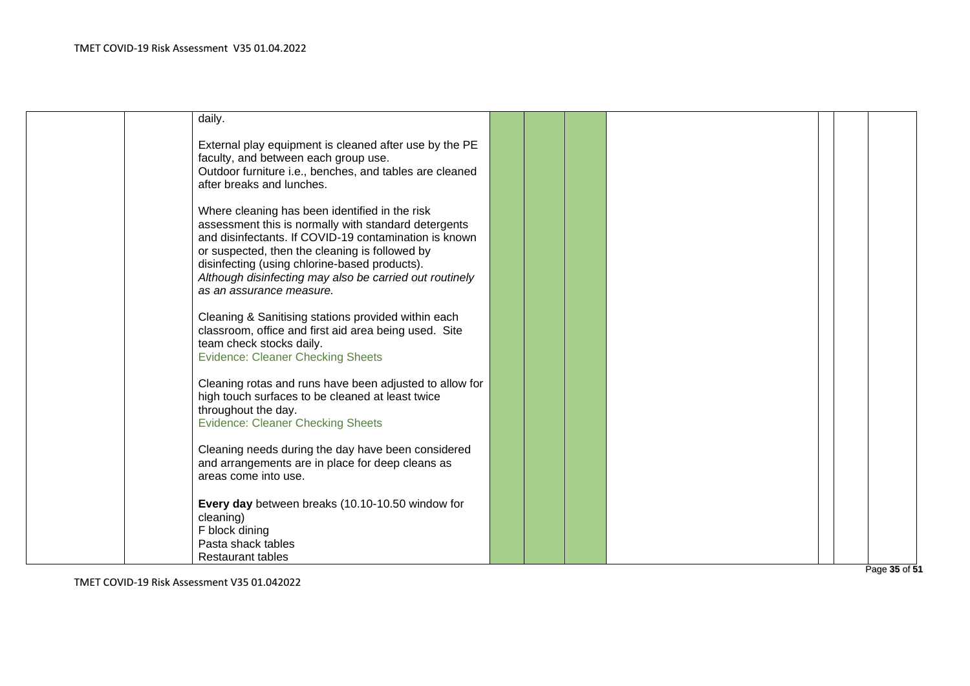| daily.                                                                                                                                                                                                                                                                                                                                                    |  |  |  |  |
|-----------------------------------------------------------------------------------------------------------------------------------------------------------------------------------------------------------------------------------------------------------------------------------------------------------------------------------------------------------|--|--|--|--|
| External play equipment is cleaned after use by the PE<br>faculty, and between each group use.<br>Outdoor furniture i.e., benches, and tables are cleaned<br>after breaks and lunches.                                                                                                                                                                    |  |  |  |  |
| Where cleaning has been identified in the risk<br>assessment this is normally with standard detergents<br>and disinfectants. If COVID-19 contamination is known<br>or suspected, then the cleaning is followed by<br>disinfecting (using chlorine-based products).<br>Although disinfecting may also be carried out routinely<br>as an assurance measure. |  |  |  |  |
| Cleaning & Sanitising stations provided within each<br>classroom, office and first aid area being used. Site<br>team check stocks daily.<br><b>Evidence: Cleaner Checking Sheets</b>                                                                                                                                                                      |  |  |  |  |
| Cleaning rotas and runs have been adjusted to allow for<br>high touch surfaces to be cleaned at least twice<br>throughout the day.<br><b>Evidence: Cleaner Checking Sheets</b>                                                                                                                                                                            |  |  |  |  |
| Cleaning needs during the day have been considered<br>and arrangements are in place for deep cleans as<br>areas come into use.                                                                                                                                                                                                                            |  |  |  |  |
| Every day between breaks (10.10-10.50 window for<br>cleaning)<br>F block dining<br>Pasta shack tables<br><b>Restaurant tables</b>                                                                                                                                                                                                                         |  |  |  |  |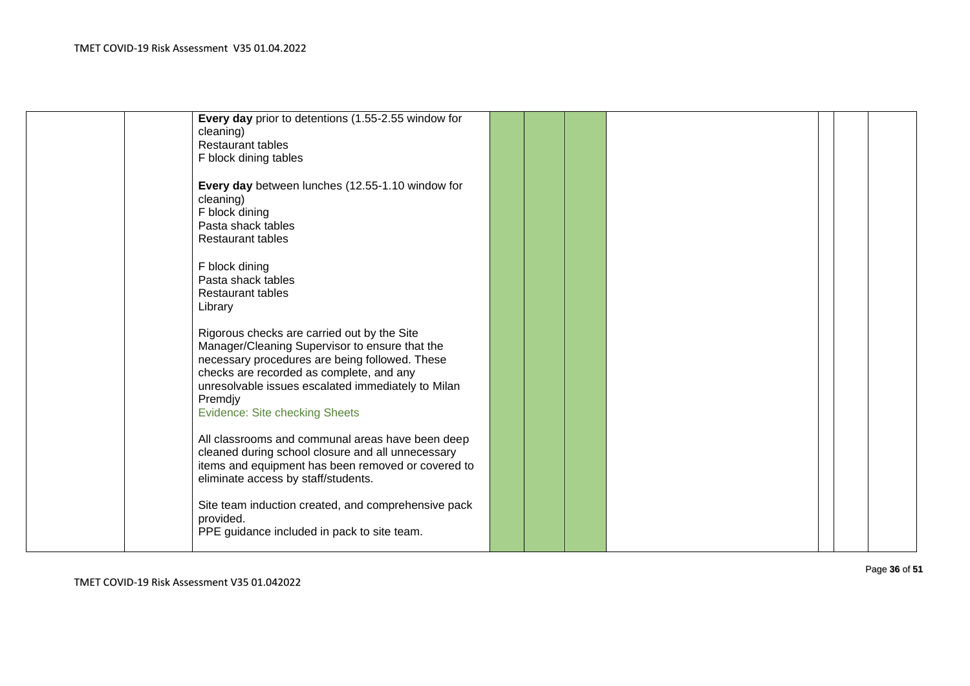| Every day prior to detentions (1.55-2.55 window for |  |  |  |  |
|-----------------------------------------------------|--|--|--|--|
| cleaning)                                           |  |  |  |  |
| <b>Restaurant tables</b>                            |  |  |  |  |
| F block dining tables                               |  |  |  |  |
|                                                     |  |  |  |  |
| Every day between lunches (12.55-1.10 window for    |  |  |  |  |
|                                                     |  |  |  |  |
| cleaning)                                           |  |  |  |  |
| F block dining                                      |  |  |  |  |
| Pasta shack tables                                  |  |  |  |  |
| <b>Restaurant tables</b>                            |  |  |  |  |
|                                                     |  |  |  |  |
| F block dining                                      |  |  |  |  |
| Pasta shack tables                                  |  |  |  |  |
| <b>Restaurant tables</b>                            |  |  |  |  |
| Library                                             |  |  |  |  |
|                                                     |  |  |  |  |
| Rigorous checks are carried out by the Site         |  |  |  |  |
| Manager/Cleaning Supervisor to ensure that the      |  |  |  |  |
| necessary procedures are being followed. These      |  |  |  |  |
| checks are recorded as complete, and any            |  |  |  |  |
| unresolvable issues escalated immediately to Milan  |  |  |  |  |
| Premdjy                                             |  |  |  |  |
| <b>Evidence: Site checking Sheets</b>               |  |  |  |  |
|                                                     |  |  |  |  |
| All classrooms and communal areas have been deep    |  |  |  |  |
| cleaned during school closure and all unnecessary   |  |  |  |  |
| items and equipment has been removed or covered to  |  |  |  |  |
|                                                     |  |  |  |  |
| eliminate access by staff/students.                 |  |  |  |  |
|                                                     |  |  |  |  |
| Site team induction created, and comprehensive pack |  |  |  |  |
| provided.                                           |  |  |  |  |
| PPE guidance included in pack to site team.         |  |  |  |  |
|                                                     |  |  |  |  |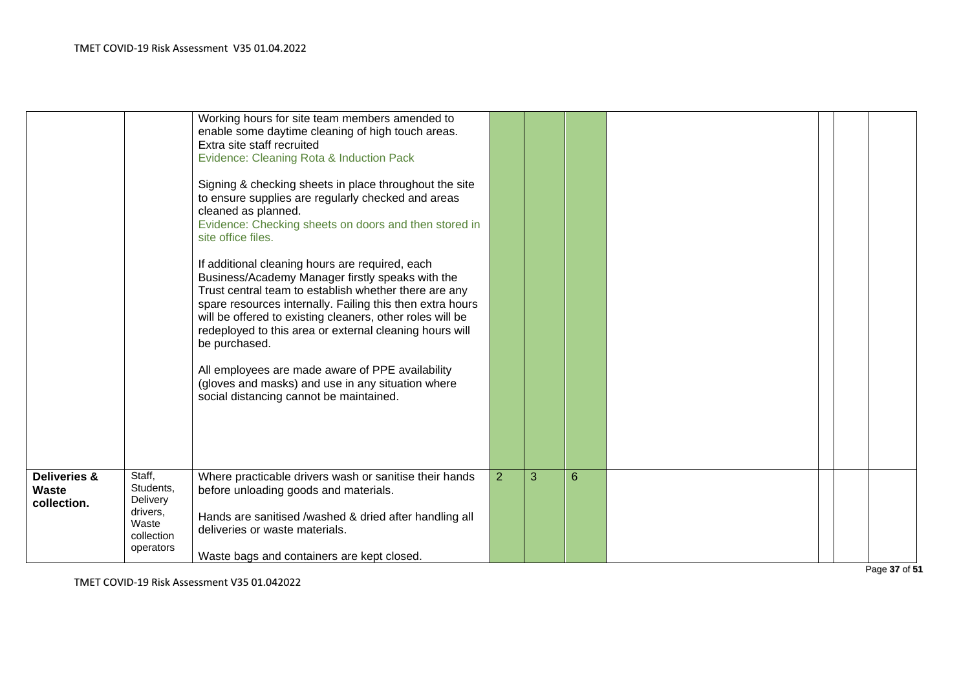|                                                 |                                                                                 | Working hours for site team members amended to<br>enable some daytime cleaning of high touch areas.<br>Extra site staff recruited<br>Evidence: Cleaning Rota & Induction Pack<br>Signing & checking sheets in place throughout the site<br>to ensure supplies are regularly checked and areas<br>cleaned as planned.<br>Evidence: Checking sheets on doors and then stored in<br>site office files.<br>If additional cleaning hours are required, each<br>Business/Academy Manager firstly speaks with the<br>Trust central team to establish whether there are any<br>spare resources internally. Failing this then extra hours<br>will be offered to existing cleaners, other roles will be<br>redeployed to this area or external cleaning hours will<br>be purchased.<br>All employees are made aware of PPE availability<br>(gloves and masks) and use in any situation where<br>social distancing cannot be maintained. |                |   |   |  |  |
|-------------------------------------------------|---------------------------------------------------------------------------------|-------------------------------------------------------------------------------------------------------------------------------------------------------------------------------------------------------------------------------------------------------------------------------------------------------------------------------------------------------------------------------------------------------------------------------------------------------------------------------------------------------------------------------------------------------------------------------------------------------------------------------------------------------------------------------------------------------------------------------------------------------------------------------------------------------------------------------------------------------------------------------------------------------------------------------|----------------|---|---|--|--|
| <b>Deliveries &amp;</b><br>Waste<br>collection. | Staff,<br>Students,<br>Delivery<br>drivers,<br>Waste<br>collection<br>operators | Where practicable drivers wash or sanitise their hands<br>before unloading goods and materials.<br>Hands are sanitised /washed & dried after handling all<br>deliveries or waste materials.<br>Waste bags and containers are kept closed.                                                                                                                                                                                                                                                                                                                                                                                                                                                                                                                                                                                                                                                                                     | $\overline{2}$ | 3 | 6 |  |  |

P a g e **3 7** o f **5 1**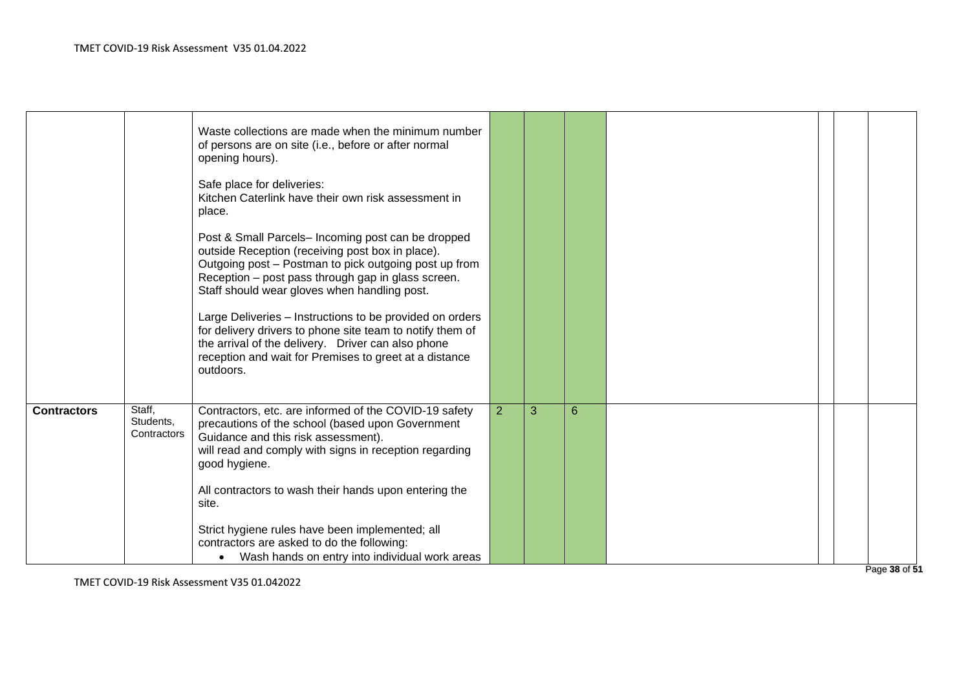|                    |                                    | Waste collections are made when the minimum number<br>of persons are on site (i.e., before or after normal<br>opening hours).                                                                                                                                         |                |   |   |  |  |
|--------------------|------------------------------------|-----------------------------------------------------------------------------------------------------------------------------------------------------------------------------------------------------------------------------------------------------------------------|----------------|---|---|--|--|
|                    |                                    | Safe place for deliveries:<br>Kitchen Caterlink have their own risk assessment in<br>place.                                                                                                                                                                           |                |   |   |  |  |
|                    |                                    | Post & Small Parcels- Incoming post can be dropped<br>outside Reception (receiving post box in place).<br>Outgoing post - Postman to pick outgoing post up from<br>Reception - post pass through gap in glass screen.<br>Staff should wear gloves when handling post. |                |   |   |  |  |
|                    |                                    | Large Deliveries - Instructions to be provided on orders<br>for delivery drivers to phone site team to notify them of<br>the arrival of the delivery. Driver can also phone<br>reception and wait for Premises to greet at a distance<br>outdoors.                    |                |   |   |  |  |
| <b>Contractors</b> | Staff,<br>Students,<br>Contractors | Contractors, etc. are informed of the COVID-19 safety<br>precautions of the school (based upon Government<br>Guidance and this risk assessment).<br>will read and comply with signs in reception regarding<br>good hygiene.                                           | $\overline{2}$ | 3 | 6 |  |  |
|                    |                                    | All contractors to wash their hands upon entering the<br>site.                                                                                                                                                                                                        |                |   |   |  |  |
|                    |                                    | Strict hygiene rules have been implemented; all<br>contractors are asked to do the following:<br>Wash hands on entry into individual work areas                                                                                                                       |                |   |   |  |  |
|                    |                                    |                                                                                                                                                                                                                                                                       |                |   |   |  |  |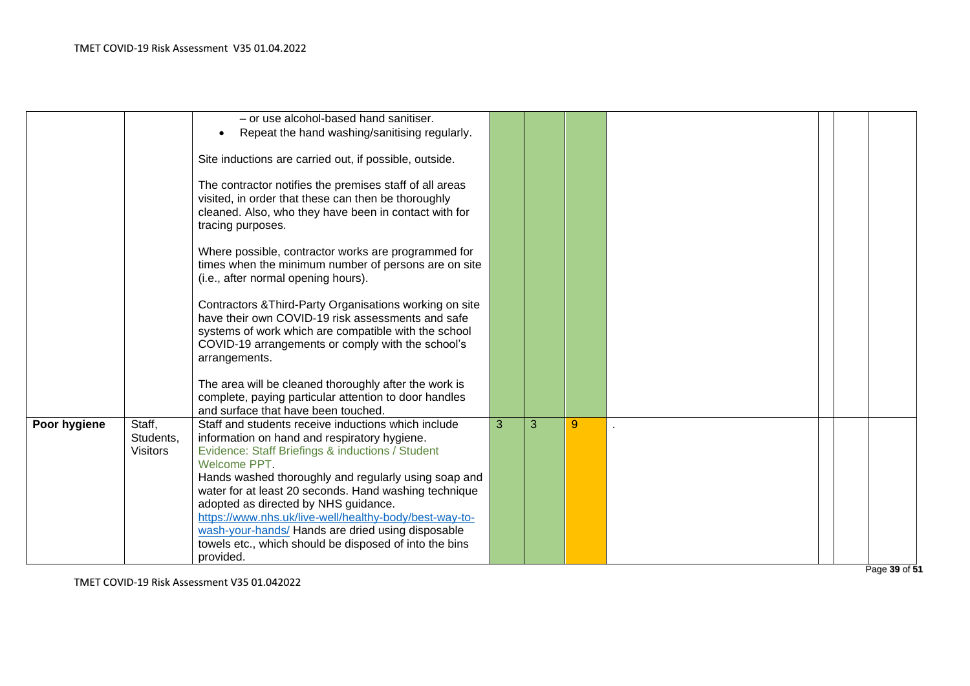|              |                                        | - or use alcohol-based hand sanitiser.<br>Repeat the hand washing/sanitising regularly.<br>Site inductions are carried out, if possible, outside.                                                                                                                                                                                                                                          |   |   |   |  |  |
|--------------|----------------------------------------|--------------------------------------------------------------------------------------------------------------------------------------------------------------------------------------------------------------------------------------------------------------------------------------------------------------------------------------------------------------------------------------------|---|---|---|--|--|
|              |                                        | The contractor notifies the premises staff of all areas<br>visited, in order that these can then be thoroughly<br>cleaned. Also, who they have been in contact with for<br>tracing purposes.                                                                                                                                                                                               |   |   |   |  |  |
|              |                                        | Where possible, contractor works are programmed for<br>times when the minimum number of persons are on site<br>(i.e., after normal opening hours).                                                                                                                                                                                                                                         |   |   |   |  |  |
|              |                                        | Contractors & Third-Party Organisations working on site<br>have their own COVID-19 risk assessments and safe<br>systems of work which are compatible with the school<br>COVID-19 arrangements or comply with the school's<br>arrangements.                                                                                                                                                 |   |   |   |  |  |
|              |                                        | The area will be cleaned thoroughly after the work is<br>complete, paying particular attention to door handles<br>and surface that have been touched.                                                                                                                                                                                                                                      |   |   |   |  |  |
| Poor hygiene | Staff,<br>Students,<br><b>Visitors</b> | Staff and students receive inductions which include<br>information on hand and respiratory hygiene.<br>Evidence: Staff Briefings & inductions / Student<br>Welcome PPT.<br>Hands washed thoroughly and regularly using soap and<br>water for at least 20 seconds. Hand washing technique<br>adopted as directed by NHS guidance.<br>https://www.nhs.uk/live-well/healthy-body/best-way-to- | 3 | 3 | 9 |  |  |
|              |                                        | wash-your-hands/ Hands are dried using disposable<br>towels etc., which should be disposed of into the bins<br>provided.                                                                                                                                                                                                                                                                   |   |   |   |  |  |

P a g e **3 9** o f **5 1**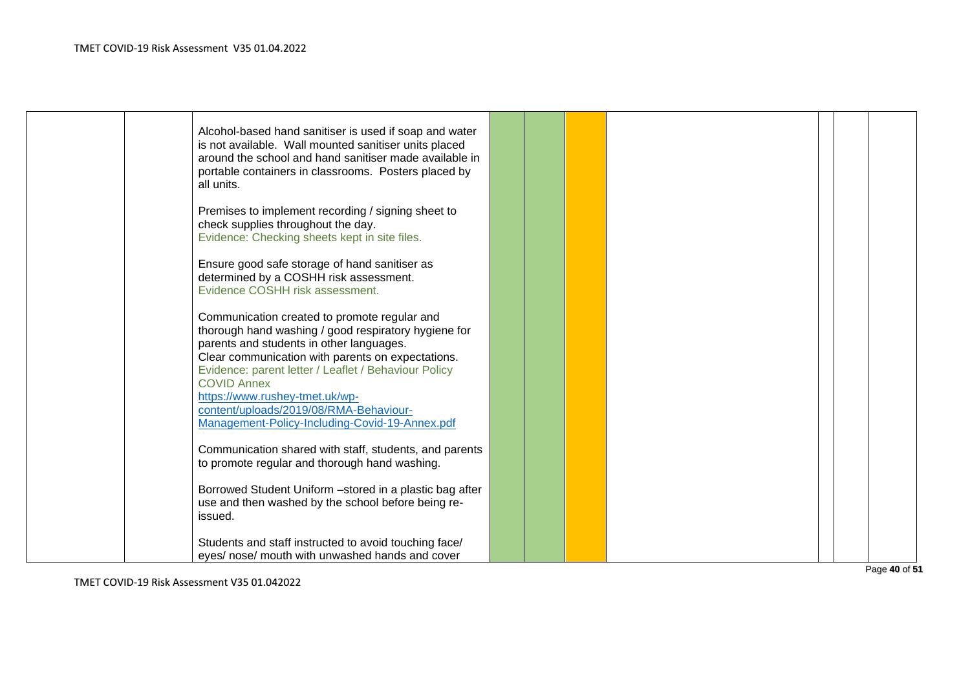| Alcohol-based hand sanitiser is used if soap and water<br>is not available. Wall mounted sanitiser units placed<br>around the school and hand sanitiser made available in<br>portable containers in classrooms. Posters placed by<br>all units.                                                                                                                 |  |  |  |  |
|-----------------------------------------------------------------------------------------------------------------------------------------------------------------------------------------------------------------------------------------------------------------------------------------------------------------------------------------------------------------|--|--|--|--|
| Premises to implement recording / signing sheet to<br>check supplies throughout the day.<br>Evidence: Checking sheets kept in site files.                                                                                                                                                                                                                       |  |  |  |  |
| Ensure good safe storage of hand sanitiser as<br>determined by a COSHH risk assessment.<br>Evidence COSHH risk assessment.                                                                                                                                                                                                                                      |  |  |  |  |
| Communication created to promote regular and<br>thorough hand washing / good respiratory hygiene for<br>parents and students in other languages.<br>Clear communication with parents on expectations.<br>Evidence: parent letter / Leaflet / Behaviour Policy<br><b>COVID Annex</b><br>https://www.rushey-tmet.uk/wp-<br>content/uploads/2019/08/RMA-Behaviour- |  |  |  |  |
| Management-Policy-Including-Covid-19-Annex.pdf<br>Communication shared with staff, students, and parents<br>to promote regular and thorough hand washing.                                                                                                                                                                                                       |  |  |  |  |
| Borrowed Student Uniform -stored in a plastic bag after<br>use and then washed by the school before being re-<br>issued.                                                                                                                                                                                                                                        |  |  |  |  |
| Students and staff instructed to avoid touching face/<br>eyes/ nose/ mouth with unwashed hands and cover                                                                                                                                                                                                                                                        |  |  |  |  |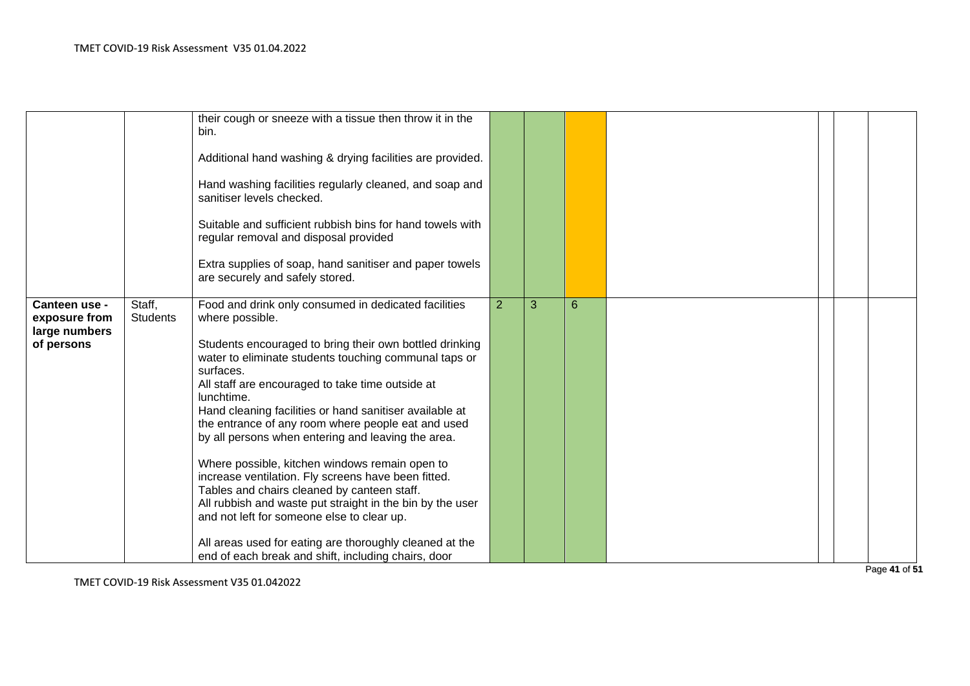|                                                                         |                 | their cough or sneeze with a tissue then throw it in the<br>bin.<br>Additional hand washing & drying facilities are provided.<br>Hand washing facilities regularly cleaned, and soap and<br>sanitiser levels checked.<br>Suitable and sufficient rubbish bins for hand towels with<br>regular removal and disposal provided<br>Extra supplies of soap, hand sanitiser and paper towels<br>are securely and safely stored.                                                                                                                                                                                                                                                                                                                                                                                                              |                |   |   |  |  |
|-------------------------------------------------------------------------|-----------------|----------------------------------------------------------------------------------------------------------------------------------------------------------------------------------------------------------------------------------------------------------------------------------------------------------------------------------------------------------------------------------------------------------------------------------------------------------------------------------------------------------------------------------------------------------------------------------------------------------------------------------------------------------------------------------------------------------------------------------------------------------------------------------------------------------------------------------------|----------------|---|---|--|--|
| Staff,<br>Canteen use -<br>exposure from<br>large numbers<br>of persons | <b>Students</b> | Food and drink only consumed in dedicated facilities<br>where possible.<br>Students encouraged to bring their own bottled drinking<br>water to eliminate students touching communal taps or<br>surfaces.<br>All staff are encouraged to take time outside at<br>lunchtime.<br>Hand cleaning facilities or hand sanitiser available at<br>the entrance of any room where people eat and used<br>by all persons when entering and leaving the area.<br>Where possible, kitchen windows remain open to<br>increase ventilation. Fly screens have been fitted.<br>Tables and chairs cleaned by canteen staff.<br>All rubbish and waste put straight in the bin by the user<br>and not left for someone else to clear up.<br>All areas used for eating are thoroughly cleaned at the<br>end of each break and shift, including chairs, door | $\overline{2}$ | 3 | 6 |  |  |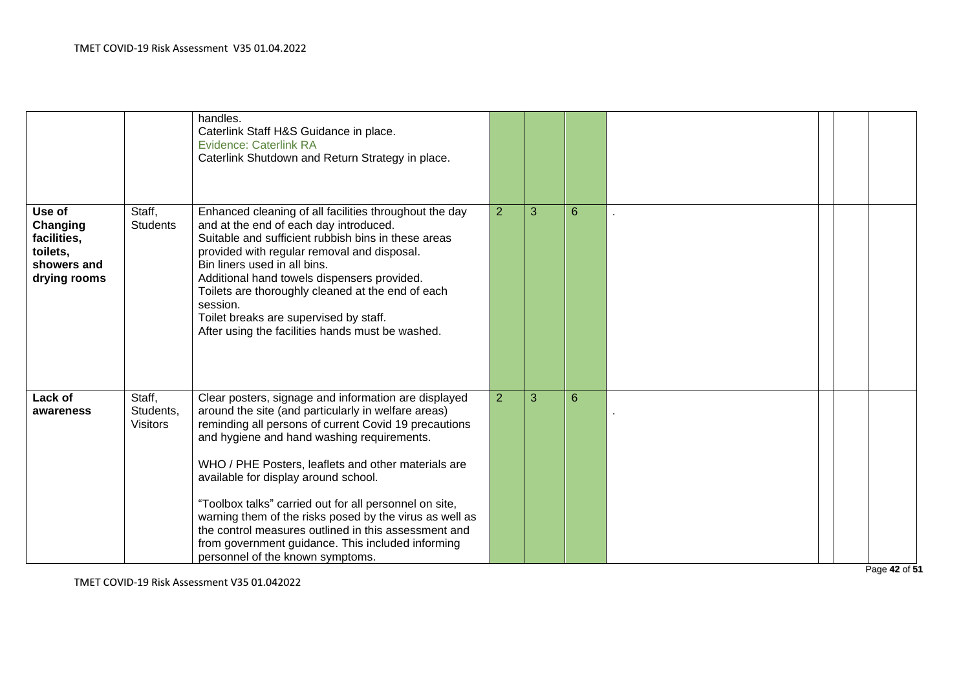|                                                                              |                                        | handles.<br>Caterlink Staff H&S Guidance in place.<br><b>Evidence: Caterlink RA</b><br>Caterlink Shutdown and Return Strategy in place.                                                                                                                                                                                                                                                                                                                                                                                                                                                 |                |   |   |  |  |
|------------------------------------------------------------------------------|----------------------------------------|-----------------------------------------------------------------------------------------------------------------------------------------------------------------------------------------------------------------------------------------------------------------------------------------------------------------------------------------------------------------------------------------------------------------------------------------------------------------------------------------------------------------------------------------------------------------------------------------|----------------|---|---|--|--|
| Use of<br>Changing<br>facilities,<br>toilets,<br>showers and<br>drying rooms | Staff,<br><b>Students</b>              | Enhanced cleaning of all facilities throughout the day<br>and at the end of each day introduced.<br>Suitable and sufficient rubbish bins in these areas<br>provided with regular removal and disposal.<br>Bin liners used in all bins.<br>Additional hand towels dispensers provided.<br>Toilets are thoroughly cleaned at the end of each<br>session.<br>Toilet breaks are supervised by staff.<br>After using the facilities hands must be washed.                                                                                                                                    | $\overline{2}$ | 3 | 6 |  |  |
| Lack of<br>awareness                                                         | Staff,<br>Students,<br><b>Visitors</b> | Clear posters, signage and information are displayed<br>around the site (and particularly in welfare areas)<br>reminding all persons of current Covid 19 precautions<br>and hygiene and hand washing requirements.<br>WHO / PHE Posters, leaflets and other materials are<br>available for display around school.<br>"Toolbox talks" carried out for all personnel on site,<br>warning them of the risks posed by the virus as well as<br>the control measures outlined in this assessment and<br>from government guidance. This included informing<br>personnel of the known symptoms. | $\overline{2}$ | 3 | 6 |  |  |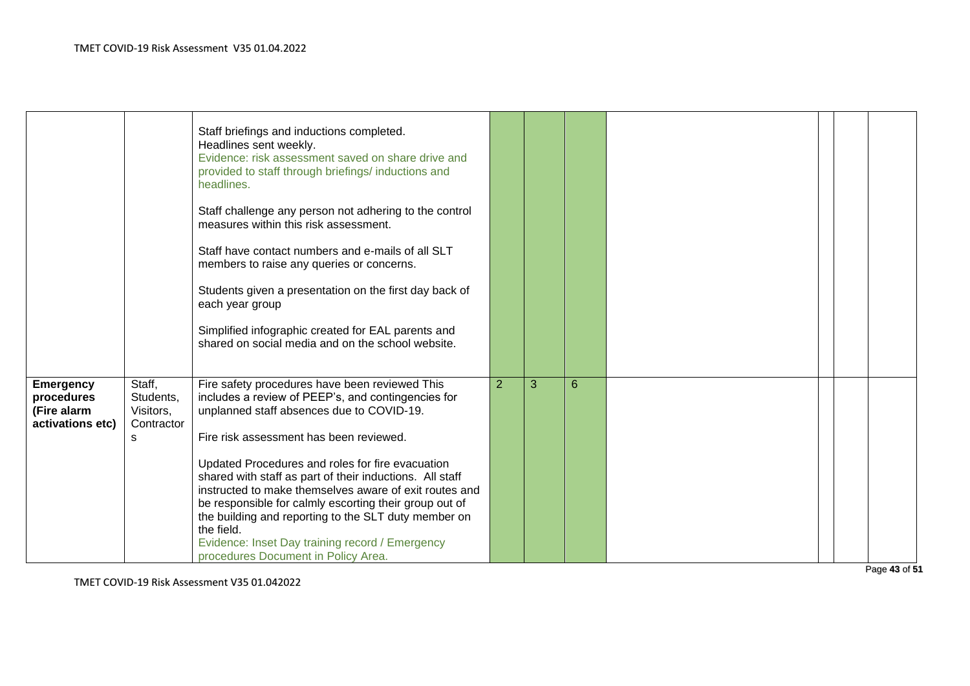|                                                                   |                                                     | Staff briefings and inductions completed.<br>Headlines sent weekly.<br>Evidence: risk assessment saved on share drive and<br>provided to staff through briefings/ inductions and<br>headlines.<br>Staff challenge any person not adhering to the control<br>measures within this risk assessment.<br>Staff have contact numbers and e-mails of all SLT<br>members to raise any queries or concerns.<br>Students given a presentation on the first day back of<br>each year group<br>Simplified infographic created for EAL parents and<br>shared on social media and on the school website.      |   |   |   |  |  |
|-------------------------------------------------------------------|-----------------------------------------------------|--------------------------------------------------------------------------------------------------------------------------------------------------------------------------------------------------------------------------------------------------------------------------------------------------------------------------------------------------------------------------------------------------------------------------------------------------------------------------------------------------------------------------------------------------------------------------------------------------|---|---|---|--|--|
| <b>Emergency</b><br>procedures<br>(Fire alarm<br>activations etc) | Staff,<br>Students,<br>Visitors,<br>Contractor<br>s | Fire safety procedures have been reviewed This<br>includes a review of PEEP's, and contingencies for<br>unplanned staff absences due to COVID-19.<br>Fire risk assessment has been reviewed.<br>Updated Procedures and roles for fire evacuation<br>shared with staff as part of their inductions. All staff<br>instructed to make themselves aware of exit routes and<br>be responsible for calmly escorting their group out of<br>the building and reporting to the SLT duty member on<br>the field.<br>Evidence: Inset Day training record / Emergency<br>procedures Document in Policy Area. | 2 | 3 | 6 |  |  |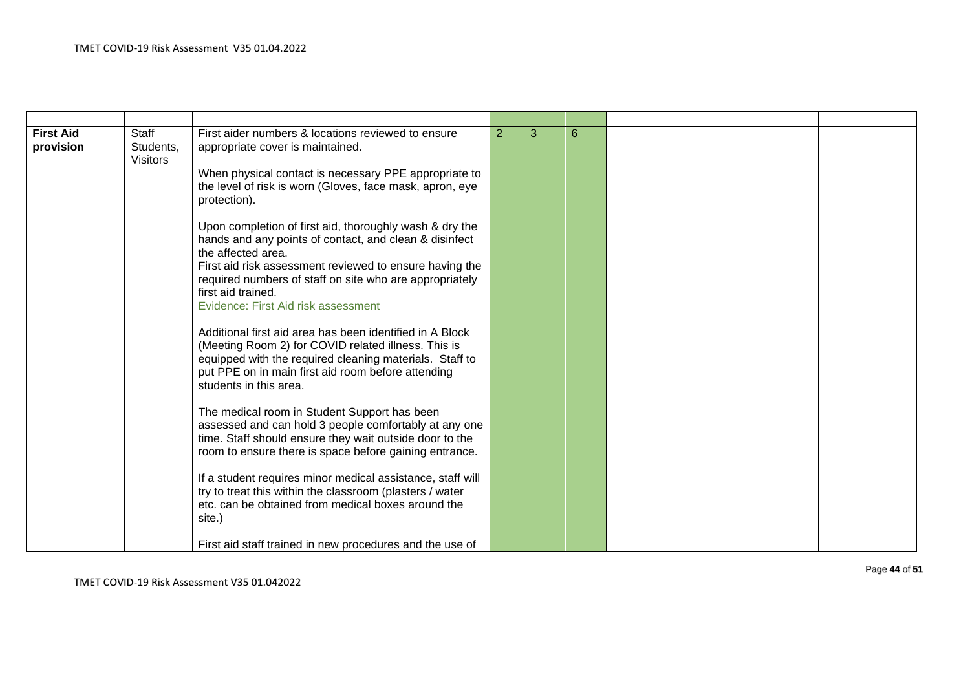| <b>First Aid</b><br>provision | <b>Staff</b><br>Students,<br><b>Visitors</b> | First aider numbers & locations reviewed to ensure<br>appropriate cover is maintained.<br>When physical contact is necessary PPE appropriate to<br>the level of risk is worn (Gloves, face mask, apron, eye<br>protection).                                                                                                | $\overline{2}$ | 3 | 6 |  |  |
|-------------------------------|----------------------------------------------|----------------------------------------------------------------------------------------------------------------------------------------------------------------------------------------------------------------------------------------------------------------------------------------------------------------------------|----------------|---|---|--|--|
|                               |                                              | Upon completion of first aid, thoroughly wash & dry the<br>hands and any points of contact, and clean & disinfect<br>the affected area.<br>First aid risk assessment reviewed to ensure having the<br>required numbers of staff on site who are appropriately<br>first aid trained.<br>Evidence: First Aid risk assessment |                |   |   |  |  |
|                               |                                              | Additional first aid area has been identified in A Block<br>(Meeting Room 2) for COVID related illness. This is<br>equipped with the required cleaning materials. Staff to<br>put PPE on in main first aid room before attending<br>students in this area.                                                                 |                |   |   |  |  |
|                               |                                              | The medical room in Student Support has been<br>assessed and can hold 3 people comfortably at any one<br>time. Staff should ensure they wait outside door to the<br>room to ensure there is space before gaining entrance.                                                                                                 |                |   |   |  |  |
|                               |                                              | If a student requires minor medical assistance, staff will<br>try to treat this within the classroom (plasters / water<br>etc. can be obtained from medical boxes around the<br>site.)                                                                                                                                     |                |   |   |  |  |
|                               |                                              | First aid staff trained in new procedures and the use of                                                                                                                                                                                                                                                                   |                |   |   |  |  |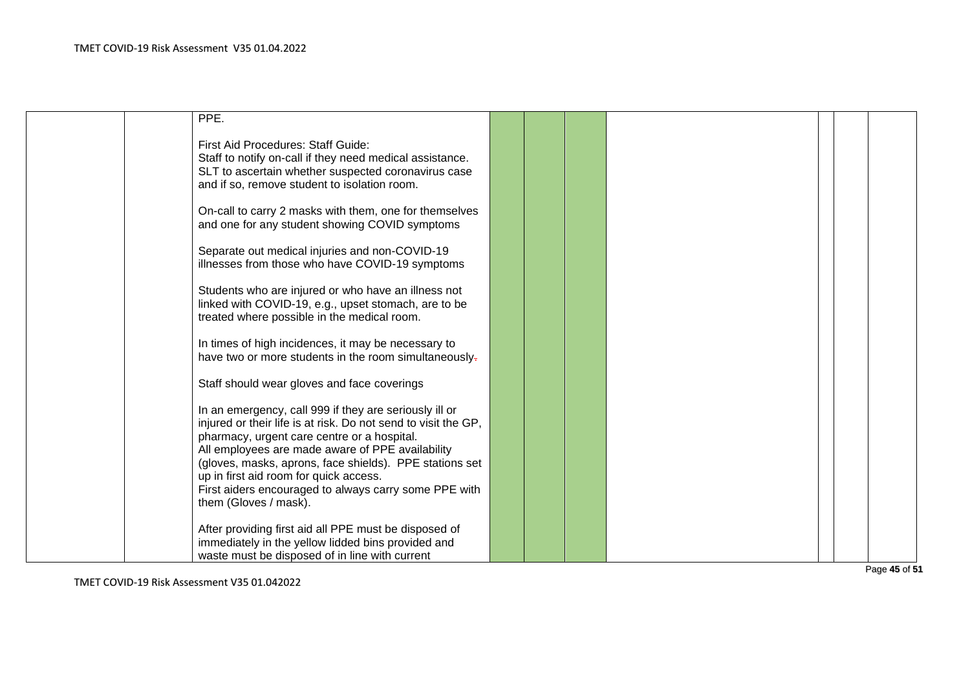| PPE.                                                                                                                                                                                                                                                                                                                                                                                                               |  |  |  |  |
|--------------------------------------------------------------------------------------------------------------------------------------------------------------------------------------------------------------------------------------------------------------------------------------------------------------------------------------------------------------------------------------------------------------------|--|--|--|--|
| First Aid Procedures: Staff Guide:<br>Staff to notify on-call if they need medical assistance.<br>SLT to ascertain whether suspected coronavirus case<br>and if so, remove student to isolation room.                                                                                                                                                                                                              |  |  |  |  |
| On-call to carry 2 masks with them, one for themselves<br>and one for any student showing COVID symptoms                                                                                                                                                                                                                                                                                                           |  |  |  |  |
| Separate out medical injuries and non-COVID-19<br>illnesses from those who have COVID-19 symptoms                                                                                                                                                                                                                                                                                                                  |  |  |  |  |
| Students who are injured or who have an illness not<br>linked with COVID-19, e.g., upset stomach, are to be<br>treated where possible in the medical room.                                                                                                                                                                                                                                                         |  |  |  |  |
| In times of high incidences, it may be necessary to<br>have two or more students in the room simultaneously-                                                                                                                                                                                                                                                                                                       |  |  |  |  |
| Staff should wear gloves and face coverings                                                                                                                                                                                                                                                                                                                                                                        |  |  |  |  |
| In an emergency, call 999 if they are seriously ill or<br>injured or their life is at risk. Do not send to visit the GP,<br>pharmacy, urgent care centre or a hospital.<br>All employees are made aware of PPE availability<br>(gloves, masks, aprons, face shields). PPE stations set<br>up in first aid room for quick access.<br>First aiders encouraged to always carry some PPE with<br>them (Gloves / mask). |  |  |  |  |
| After providing first aid all PPE must be disposed of<br>immediately in the yellow lidded bins provided and<br>waste must be disposed of in line with current                                                                                                                                                                                                                                                      |  |  |  |  |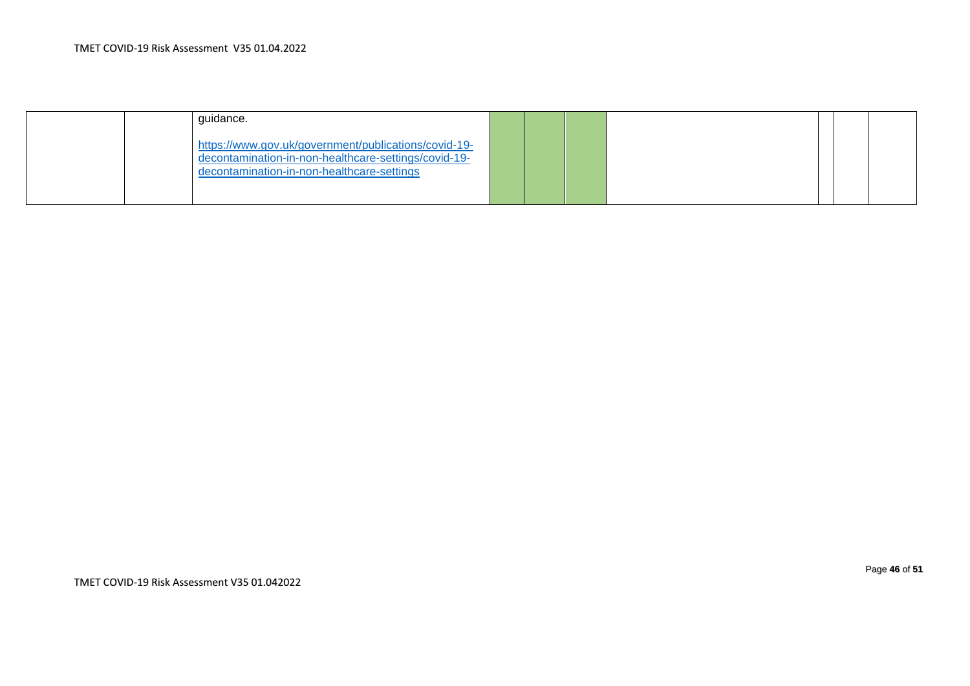| quidance.                                                                                                                                                  |  |  |  |  |
|------------------------------------------------------------------------------------------------------------------------------------------------------------|--|--|--|--|
| https://www.gov.uk/government/publications/covid-19-<br>decontamination-in-non-healthcare-settings/covid-19-<br>decontamination-in-non-healthcare-settings |  |  |  |  |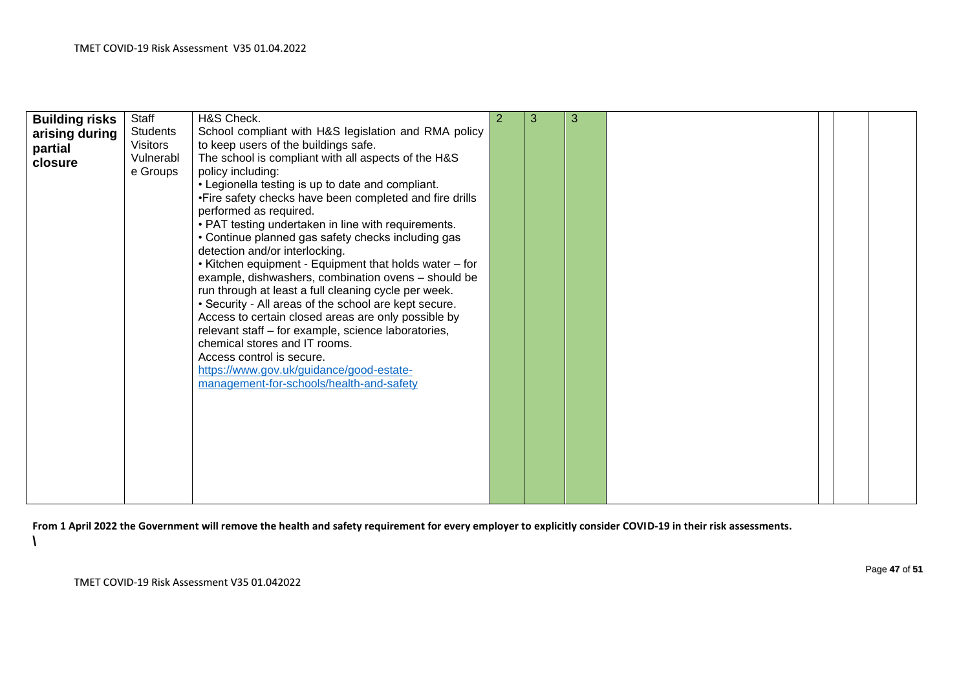|                       | Staff           | H&S Check.                                              | 2 | 3 | 3 |  |  |
|-----------------------|-----------------|---------------------------------------------------------|---|---|---|--|--|
| <b>Building risks</b> |                 |                                                         |   |   |   |  |  |
| arising during        | <b>Students</b> | School compliant with H&S legislation and RMA policy    |   |   |   |  |  |
| partial               | <b>Visitors</b> | to keep users of the buildings safe.                    |   |   |   |  |  |
| closure               | Vulnerabl       | The school is compliant with all aspects of the H&S     |   |   |   |  |  |
|                       | e Groups        | policy including:                                       |   |   |   |  |  |
|                       |                 | • Legionella testing is up to date and compliant.       |   |   |   |  |  |
|                       |                 | •Fire safety checks have been completed and fire drills |   |   |   |  |  |
|                       |                 | performed as required.                                  |   |   |   |  |  |
|                       |                 | • PAT testing undertaken in line with requirements.     |   |   |   |  |  |
|                       |                 | • Continue planned gas safety checks including gas      |   |   |   |  |  |
|                       |                 | detection and/or interlocking.                          |   |   |   |  |  |
|                       |                 | • Kitchen equipment - Equipment that holds water - for  |   |   |   |  |  |
|                       |                 | example, dishwashers, combination ovens - should be     |   |   |   |  |  |
|                       |                 |                                                         |   |   |   |  |  |
|                       |                 | run through at least a full cleaning cycle per week.    |   |   |   |  |  |
|                       |                 | • Security - All areas of the school are kept secure.   |   |   |   |  |  |
|                       |                 | Access to certain closed areas are only possible by     |   |   |   |  |  |
|                       |                 | relevant staff - for example, science laboratories,     |   |   |   |  |  |
|                       |                 | chemical stores and IT rooms.                           |   |   |   |  |  |
|                       |                 | Access control is secure.                               |   |   |   |  |  |
|                       |                 | https://www.gov.uk/guidance/good-estate-                |   |   |   |  |  |
|                       |                 | management-for-schools/health-and-safety                |   |   |   |  |  |
|                       |                 |                                                         |   |   |   |  |  |
|                       |                 |                                                         |   |   |   |  |  |
|                       |                 |                                                         |   |   |   |  |  |
|                       |                 |                                                         |   |   |   |  |  |
|                       |                 |                                                         |   |   |   |  |  |
|                       |                 |                                                         |   |   |   |  |  |
|                       |                 |                                                         |   |   |   |  |  |
|                       |                 |                                                         |   |   |   |  |  |
|                       |                 |                                                         |   |   |   |  |  |

**From 1 April 2022 the Government will remove the health and safety requirement for every employer to explicitly consider COVID-19 in their risk assessments. \**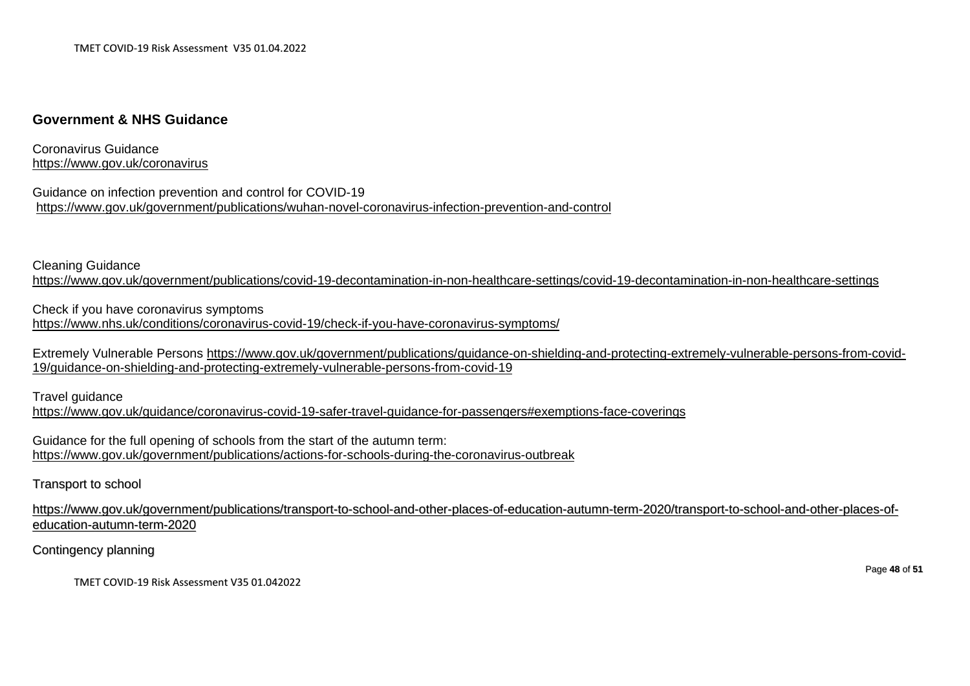## **Government & NHS Guidance**

Coronavirus Guidance <https://www.gov.uk/coronavirus>

Guidance on infection prevention and control for COVID-19 <https://www.gov.uk/government/publications/wuhan-novel-coronavirus-infection-prevention-and-control>

Cleaning Guidance

<https://www.gov.uk/government/publications/covid-19-decontamination-in-non-healthcare-settings/covid-19-decontamination-in-non-healthcare-settings>

Check if you have coronavirus symptoms <https://www.nhs.uk/conditions/coronavirus-covid-19/check-if-you-have-coronavirus-symptoms/>

Extremely Vulnerable Persons [https://www.gov.uk/government/publications/guidance-on-shielding-and-protecting-extremely-vulnerable-persons-from-covid-](https://www.gov.uk/government/publications/guidance-on-shielding-and-protecting-extremely-vulnerable-persons-from-covid-19/guidance-on-shielding-and-protecting-extremely-vulnerable-persons-from-covid-19)[19/guidance-on-shielding-and-protecting-extremely-vulnerable-persons-from-covid-19](https://www.gov.uk/government/publications/guidance-on-shielding-and-protecting-extremely-vulnerable-persons-from-covid-19/guidance-on-shielding-and-protecting-extremely-vulnerable-persons-from-covid-19)

Travel guidance <https://www.gov.uk/guidance/coronavirus-covid-19-safer-travel-guidance-for-passengers#exemptions-face-coverings>

Guidance for the full opening of schools from the start of the autumn term: <https://www.gov.uk/government/publications/actions-for-schools-during-the-coronavirus-outbreak>

Transport to school

[https://www.gov.uk/government/publications/transport-to-school-and-other-places-of-education-autumn-term-2020/transport-to-school-and-other-places-of](https://www.gov.uk/government/publications/transport-to-school-and-other-places-of-education-autumn-term-2020/transport-to-school-and-other-places-of-education-autumn-term-2020)[education-autumn-term-2020](https://www.gov.uk/government/publications/transport-to-school-and-other-places-of-education-autumn-term-2020/transport-to-school-and-other-places-of-education-autumn-term-2020)

Contingency planning

TMET COVID-19 Risk Assessment V35 01.042022

Page **48** of **51**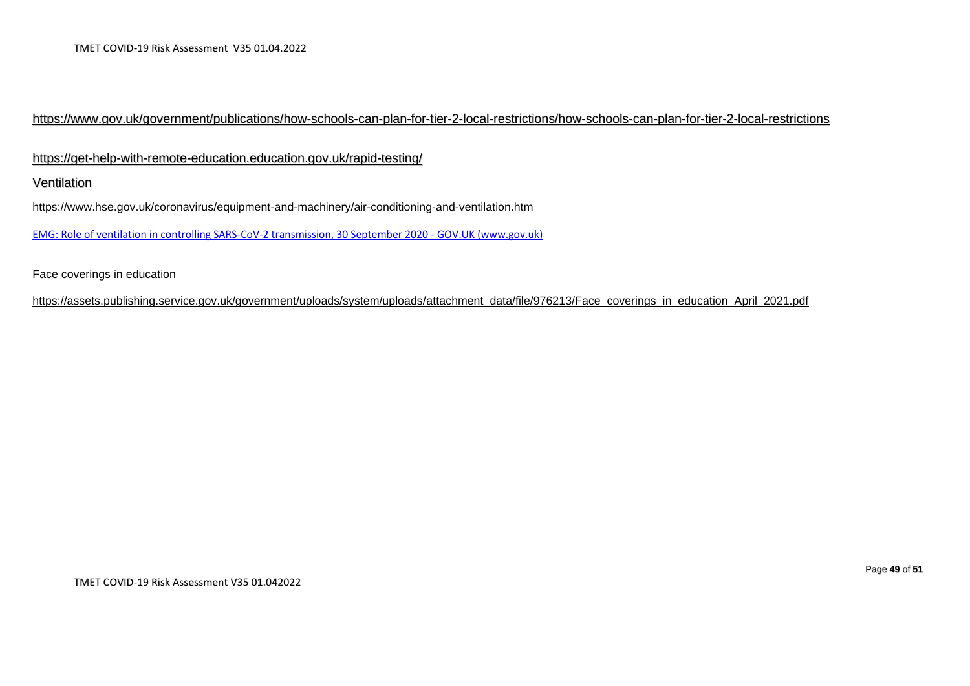## <https://www.gov.uk/government/publications/how-schools-can-plan-for-tier-2-local-restrictions/how-schools-can-plan-for-tier-2-local-restrictions>

<https://get-help-with-remote-education.education.gov.uk/rapid-testing/>

Ventilation

<https://www.hse.gov.uk/coronavirus/equipment-and-machinery/air-conditioning-and-ventilation.htm>

[EMG: Role of ventilation in controlling SARS-CoV-2 transmission, 30 September 2020 -](https://www.gov.uk/government/publications/emg-role-of-ventilation-in-controlling-sars-cov-2-transmission-30-september-2020) GOV.UK (www.gov.uk)

Face coverings in education

[https://assets.publishing.service.gov.uk/government/uploads/system/uploads/attachment\\_data/file/976213/Face\\_coverings\\_in\\_education\\_April\\_2021.pdf](https://assets.publishing.service.gov.uk/government/uploads/system/uploads/attachment_data/file/976213/Face_coverings_in_education_April_2021.pdf)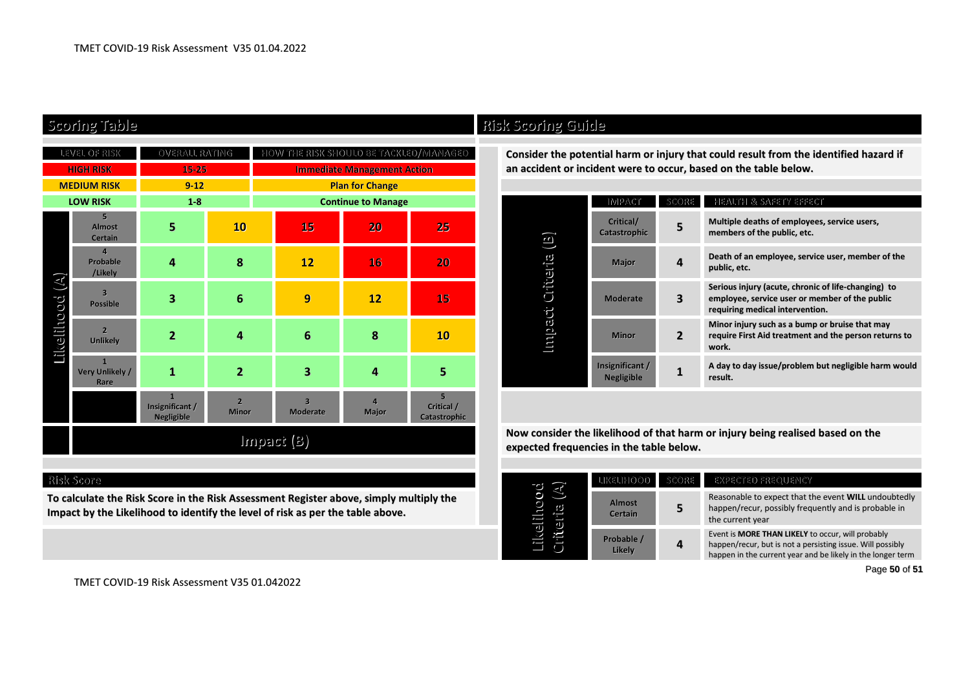| LEVEL OF RISK                |                                       | OVERALL RATING                                |                                | HOW THE RISK SHOULD BE TACKLED/MIANAGED |                         |                                              |  | Consider the potential harm or injury                                          |                               |                |  |
|------------------------------|---------------------------------------|-----------------------------------------------|--------------------------------|-----------------------------------------|-------------------------|----------------------------------------------|--|--------------------------------------------------------------------------------|-------------------------------|----------------|--|
| <b>HIGH RISK</b>             |                                       | 15-25                                         |                                | <b>Immediate Management Action</b>      |                         |                                              |  | an accident or incident were to occur                                          |                               |                |  |
| <b>MEDIUM RISK</b>           |                                       | $9-12$                                        |                                | <b>Plan for Change</b>                  |                         |                                              |  |                                                                                |                               |                |  |
| <b>LOW RISK</b>              |                                       | $1 - 8$                                       |                                | <b>Continue to Manage</b>               |                         |                                              |  |                                                                                | <b>IMPACT</b>                 | <b>SCO</b>     |  |
| $(\mathbb{A})$<br>Likelihood | 5<br><b>Almost</b><br>Certain         | 5                                             | 10                             | 15                                      | 20                      | 25                                           |  | $\Xi$<br>Impact Criteria                                                       | Critical/<br>Catastrophic     | 5              |  |
|                              | $\overline{4}$<br>Probable<br>/Likely | 4                                             | $\bf{8}$                       | 12                                      | 16                      | 20                                           |  |                                                                                | Major                         | 4              |  |
|                              | $\overline{3}$<br>Possible            | 3                                             | $6\phantom{1}6$                | 9                                       | 12                      | 15                                           |  |                                                                                | <b>Moderate</b>               | 3              |  |
|                              | $\overline{2}$<br><b>Unlikely</b>     | $\overline{2}$                                | $\overline{4}$                 | $6\phantom{1}6$                         | 8                       | 10                                           |  |                                                                                | Minor                         | $\overline{2}$ |  |
|                              | 1<br>Very Unlikely /<br>Rare          | 1                                             | $\overline{2}$                 | 3                                       | $\overline{\mathbf{A}}$ | 5                                            |  |                                                                                | Insignificant /<br>Negligible | 1              |  |
|                              |                                       | $\mathbf{1}$<br>Insignificant /<br>Negligible | $\overline{2}$<br><b>Minor</b> | $\overline{a}$<br>Moderate              | $\overline{4}$<br>Major | 5 <sub>1</sub><br>Critical /<br>Catastrophic |  |                                                                                |                               |                |  |
|                              |                                       |                                               |                                | $(8)$ iteq in                           |                         |                                              |  | Now consider the likelihood of that h<br>expected frequencies in the table bel |                               |                |  |

#### **Risk Score**

**To calculate the Risk Score in the Risk Assessment Register above, simply multiply the Impact by the Likelihood to identify the level of risk as per the table above.**

# **Scoring Table Risk Scoring Guide**

Consider the potential harm or injury that could result from the identified hazard if an accident or incident were to occur, based on the table below.

|          | <b>IMPACT</b>                        | SCORE | HEALTH & SAFETY EFFECT                                                                                                                   |  |  |  |
|----------|--------------------------------------|-------|------------------------------------------------------------------------------------------------------------------------------------------|--|--|--|
| $\Xi$    | Critical/<br>Catastrophic            | 5     | Multiple deaths of employees, service users,<br>members of the public, etc.                                                              |  |  |  |
| Criteria | <b>Major</b>                         | 4     | Death of an employee, service user, member of the<br>public, etc.                                                                        |  |  |  |
|          | <b>Moderate</b>                      | з     | Serious injury (acute, chronic of life-changing) to<br>employee, service user or member of the public<br>requiring medical intervention. |  |  |  |
| mpact    | <b>Minor</b>                         | 2     | Minor injury such as a bump or bruise that may<br>require First Aid treatment and the person returns to<br>work.                         |  |  |  |
|          | Insignificant /<br><b>Negligible</b> |       | A day to day issue/problem but negligible harm would<br>result.                                                                          |  |  |  |

**Now consider the likelihood of that harm or injury being realised based on the expected frequencies in the table below.**

|          | TIKETIHOOD                    | SCORE | EXPECTED FREQUENCY                                                                                                                                                             |  |  |  |
|----------|-------------------------------|-------|--------------------------------------------------------------------------------------------------------------------------------------------------------------------------------|--|--|--|
| ΩŹ<br>IJ | <b>Almost</b><br>5<br>Certain |       | Reasonable to expect that the event WILL undoubtedly<br>happen/recur, possibly frequently and is probable in<br>the current year                                               |  |  |  |
|          | Probable /<br>Likely          | 4     | Event is MORE THAN LIKELY to occur, will probably<br>happen/recur, but is not a persisting issue. Will possibly<br>happen in the current year and be likely in the longer term |  |  |  |

Page **50** of **51**